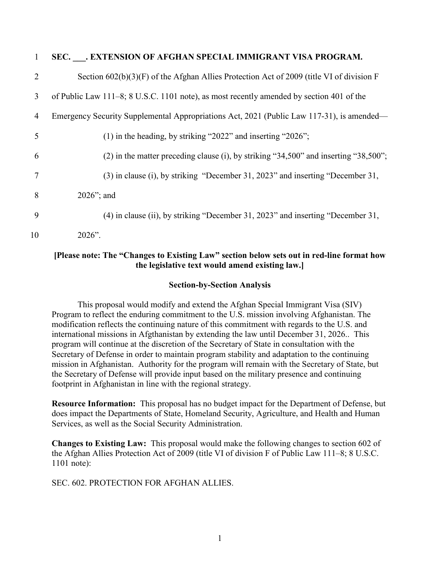| 1  | SEC. . EXTENSION OF AFGHAN SPECIAL IMMIGRANT VISA PROGRAM.                                 |
|----|--------------------------------------------------------------------------------------------|
| 2  | Section $602(b)(3)(F)$ of the Afghan Allies Protection Act of 2009 (title VI of division F |
| 3  | of Public Law 111–8; 8 U.S.C. 1101 note), as most recently amended by section 401 of the   |
| 4  | Emergency Security Supplemental Appropriations Act, 2021 (Public Law 117-31), is amended—  |
| 5  | $(1)$ in the heading, by striking "2022" and inserting "2026";                             |
| 6  | $(2)$ in the matter preceding clause (i), by striking "34,500" and inserting "38,500";     |
| 7  | (3) in clause (i), by striking "December 31, 2023" and inserting "December 31,             |
| 8  | $2026$ "; and                                                                              |
| 9  | (4) in clause (ii), by striking "December 31, 2023" and inserting "December 31,            |
| 10 | $2026$ ".                                                                                  |

# **[Please note: The "Changes to Existing Law" section below sets out in red-line format how the legislative text would amend existing law.]**

# **Section-by-Section Analysis**

This proposal would modify and extend the Afghan Special Immigrant Visa (SIV) Program to reflect the enduring commitment to the U.S. mission involving Afghanistan. The modification reflects the continuing nature of this commitment with regards to the U.S. and international missions in Afgthanistan by extending the law until December 31, 2026.. This program will continue at the discretion of the Secretary of State in consultation with the Secretary of Defense in order to maintain program stability and adaptation to the continuing mission in Afghanistan. Authority for the program will remain with the Secretary of State, but the Secretary of Defense will provide input based on the military presence and continuing footprint in Afghanistan in line with the regional strategy.

**Resource Information:** This proposal has no budget impact for the Department of Defense, but does impact the Departments of State, Homeland Security, Agriculture, and Health and Human Services, as well as the Social Security Administration.

**Changes to Existing Law:** This proposal would make the following changes to section 602 of the Afghan Allies Protection Act of 2009 (title VI of division F of Public Law 111–8; 8 U.S.C. 1101 note):

SEC. 602. PROTECTION FOR AFGHAN ALLIES.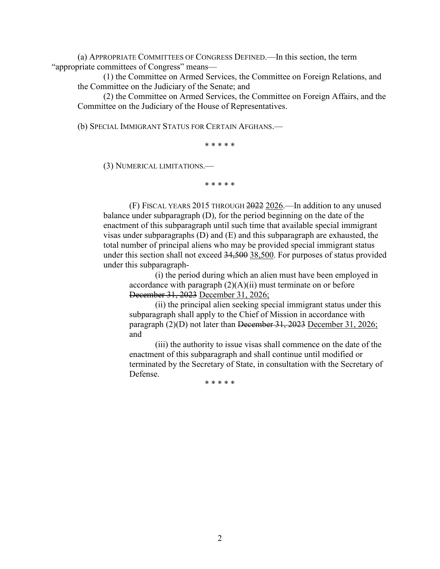(a) APPROPRIATE COMMITTEES OF CONGRESS DEFINED.—In this section, the term "appropriate committees of Congress" means—

(1) the Committee on Armed Services, the Committee on Foreign Relations, and the Committee on the Judiciary of the Senate; and

(2) the Committee on Armed Services, the Committee on Foreign Affairs, and the Committee on the Judiciary of the House of Representatives.

(b) SPECIAL IMMIGRANT STATUS FOR CERTAIN AFGHANS.—

\* \* \* \* \*

(3) NUMERICAL LIMITATIONS.—

\* \* \* \* \*

(F) FISCAL YEARS 2015 THROUGH 2022 2026.—In addition to any unused balance under subparagraph (D), for the period beginning on the date of the enactment of this subparagraph until such time that available special immigrant visas under subparagraphs (D) and (E) and this subparagraph are exhausted, the total number of principal aliens who may be provided special immigrant status under this section shall not exceed 34,500 38,500. For purposes of status provided under this subparagraph-

(i) the period during which an alien must have been employed in accordance with paragraph  $(2)(A)(ii)$  must terminate on or before December 31, 2023 December 31, 2026;

(ii) the principal alien seeking special immigrant status under this subparagraph shall apply to the Chief of Mission in accordance with paragraph (2)(D) not later than December 31, 2023 December 31, 2026; and

(iii) the authority to issue visas shall commence on the date of the enactment of this subparagraph and shall continue until modified or terminated by the Secretary of State, in consultation with the Secretary of Defense.

\* \* \* \* \*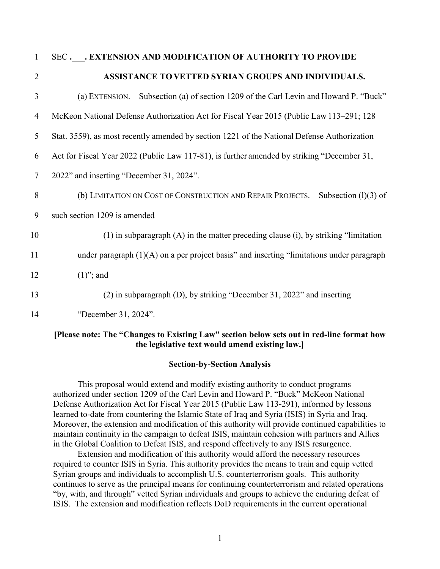#### 1 SEC **.\_\_\_. EXTENSION AND MODIFICATION OF AUTHORITY TO PROVIDE**

# 2 **ASSISTANCE TOVETTED SYRIAN GROUPS AND INDIVIDUALS.**

- 3 (a) EXTENSION.—Subsection (a) of section 1209 of the Carl Levin and Howard P. "Buck" 4 McKeon National Defense Authorization Act for Fiscal Year 2015 (Public Law 113–291; 128 5 Stat. 3559), as most recently amended by section 1221 of the National Defense Authorization 6 Act for Fiscal Year 2022 (Public Law 117-81), is further amended by striking "December 31, 7 2022" and inserting "December 31, 2024". 8 (b) LIMITATION ON COST OF CONSTRUCTION AND REPAIR PROJECTS.—Subsection (1)(3) of 9 such section 1209 is amended— 10 (1) in subparagraph (A) in the matter preceding clause (i), by striking "limitation 11 under paragraph (1)(A) on a per project basis" and inserting "limitations under paragraph 12  $(1)$ "; and 13 (2) in subparagraph (D), by striking "December 31, 2022" and inserting
	-
- 14 "December 31, 2024".

#### **[Please note: The "Changes to Existing Law" section below sets out in red-line format how the legislative text would amend existing law.]**

#### **Section-by-Section Analysis**

This proposal would extend and modify existing authority to conduct programs authorized under section 1209 of the Carl Levin and Howard P. "Buck" McKeon National Defense Authorization Act for Fiscal Year 2015 (Public Law 113-291), informed by lessons learned to-date from countering the Islamic State of Iraq and Syria (ISIS) in Syria and Iraq. Moreover, the extension and modification of this authority will provide continued capabilities to maintain continuity in the campaign to defeat ISIS, maintain cohesion with partners and Allies in the Global Coalition to Defeat ISIS, and respond effectively to any ISIS resurgence.

Extension and modification of this authority would afford the necessary resources required to counter ISIS in Syria. This authority provides the means to train and equip vetted Syrian groups and individuals to accomplish U.S. counterterrorism goals. This authority continues to serve as the principal means for continuing counterterrorism and related operations "by, with, and through" vetted Syrian individuals and groups to achieve the enduring defeat of ISIS. The extension and modification reflects DoD requirements in the current operational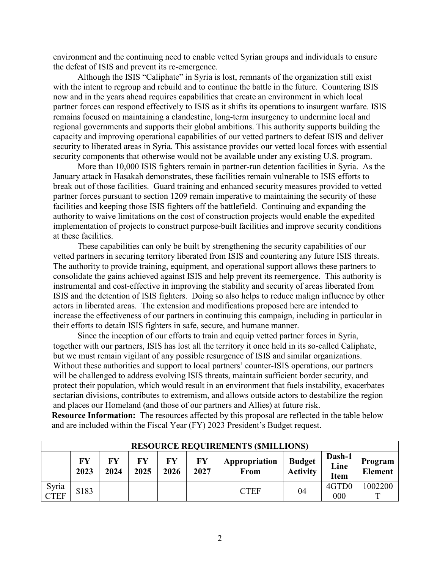environment and the continuing need to enable vetted Syrian groups and individuals to ensure the defeat of ISIS and prevent its re-emergence.

Although the ISIS "Caliphate" in Syria is lost, remnants of the organization still exist with the intent to regroup and rebuild and to continue the battle in the future. Countering ISIS now and in the years ahead requires capabilities that create an environment in which local partner forces can respond effectively to ISIS as it shifts its operations to insurgent warfare. ISIS remains focused on maintaining a clandestine, long-term insurgency to undermine local and regional governments and supports their global ambitions. This authority supports building the capacity and improving operational capabilities of our vetted partners to defeat ISIS and deliver security to liberated areas in Syria. This assistance provides our vetted local forces with essential security components that otherwise would not be available under any existing U.S. program.

More than 10,000 ISIS fighters remain in partner-run detention facilities in Syria. As the January attack in Hasakah demonstrates, these facilities remain vulnerable to ISIS efforts to break out of those facilities. Guard training and enhanced security measures provided to vetted partner forces pursuant to section 1209 remain imperative to maintaining the security of these facilities and keeping those ISIS fighters off the battlefield. Continuing and expanding the authority to waive limitations on the cost of construction projects would enable the expedited implementation of projects to construct purpose-built facilities and improve security conditions at these facilities.

These capabilities can only be built by strengthening the security capabilities of our vetted partners in securing territory liberated from ISIS and countering any future ISIS threats. The authority to provide training, equipment, and operational support allows these partners to consolidate the gains achieved against ISIS and help prevent its reemergence. This authority is instrumental and cost-effective in improving the stability and security of areas liberated from ISIS and the detention of ISIS fighters. Doing so also helps to reduce malign influence by other actors in liberated areas. The extension and modifications proposed here are intended to increase the effectiveness of our partners in continuing this campaign, including in particular in their efforts to detain ISIS fighters in safe, secure, and humane manner.

Since the inception of our efforts to train and equip vetted partner forces in Syria, together with our partners, ISIS has lost all the territory it once held in its so-called Caliphate, but we must remain vigilant of any possible resurgence of ISIS and similar organizations. Without these authorities and support to local partners' counter-ISIS operations, our partners will be challenged to address evolving ISIS threats, maintain sufficient border security, and protect their population, which would result in an environment that fuels instability, exacerbates sectarian divisions, contributes to extremism, and allows outside actors to destabilize the region and places our Homeland (and those of our partners and Allies) at future risk.

**Resource Information:** The resources affected by this proposal are reflected in the table below and are included within the Fiscal Year (FY) 2023 President's Budget request.

|                      | <b>RESOURCE REQUIREMENTS (\$MILLIONS)</b> |            |            |            |                   |                              |                                  |                               |                           |
|----------------------|-------------------------------------------|------------|------------|------------|-------------------|------------------------------|----------------------------------|-------------------------------|---------------------------|
|                      | FY<br>2023                                | FY<br>2024 | FY<br>2025 | FY<br>2026 | <b>FY</b><br>2027 | Appropriation<br><b>From</b> | <b>Budget</b><br><b>Activity</b> | Dash-1<br>Line<br><b>Item</b> | Program<br><b>Element</b> |
| Syria<br><b>CTEF</b> | \$183                                     |            |            |            |                   | <b>CTEF</b>                  | 04                               | 4GTD0<br>000                  | 1002200                   |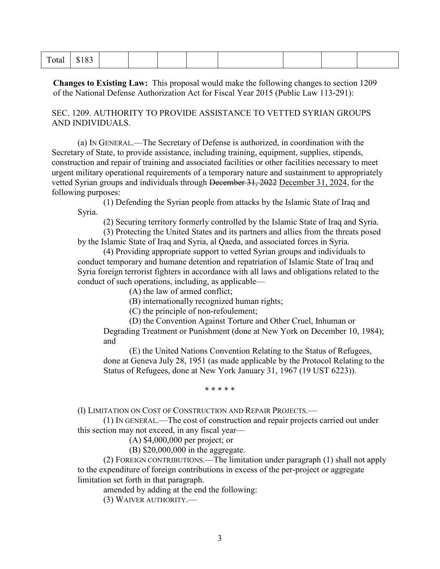**Changes to Existing Law:** This proposal would make the following changes to section 1209 of the National Defense Authorization Act for Fiscal Year 2015 (Public Law 113-291):

SEC. 1209. AUTHORITY TO PROVIDE ASSISTANCE TO VETTED SYRIAN GROUPS AND INDIVIDUALS.

(a) IN GENERAL.—The Secretary of Defense is authorized, in coordination with the Secretary of State, to provide assistance, including training, equipment, supplies, stipends, construction and repair of training and associated facilities or other facilities necessary to meet urgent military operational requirements of a temporary nature and sustainment to appropriately vetted Syrian groups and individuals through December 31, 2022 December 31, 2024, for the following purposes:

(1) Defending the Syrian people from attacks by the Islamic State of Iraq and Syria.

(2) Securing territory formerly controlled by the Islamic State of Iraq and Syria.

(3) Protecting the United States and its partners and allies from the threats posed by the Islamic State of Iraq and Syria, al Qaeda, and associated forces in Syria.

(4) Providing appropriate support to vetted Syrian groups and individuals to conduct temporary and humane detention and repatriation of Islamic State of Iraq and Syria foreign terrorist fighters in accordance with all laws and obligations related to the conduct of such operations, including, as applicable—

(A) the law of armed conflict;

(B) internationally recognized human rights;

(C) the principle of non-refoulement;

(D) the Convention Against Torture and Other Cruel, Inhuman or

Degrading Treatment or Punishment (done at New York on December 10, 1984); and

(E) the United Nations Convention Relating to the Status of Refugees, done at Geneva July 28, 1951 (as made applicable by the Protocol Relating to the Status of Refugees, done at New York January 31, 1967 (19 UST 6223)).

\* \* \* \* \*

(l) LIMITATION ON COST OF CONSTRUCTION AND REPAIR PROJECTS.—

(1) IN GENERAL.—The cost of construction and repair projects carried out under this section may not exceed, in any fiscal year—

(A) \$4,000,000 per project; or

(B) \$20,000,000 in the aggregate.

(2) FOREIGN CONTRIBUTIONS.—The limitation under paragraph (1) shall not apply to the expenditure of foreign contributions in excess of the per-project or aggregate limitation set forth in that paragraph.

amended by adding at the end the following:

(3) WAIVER AUTHORITY.—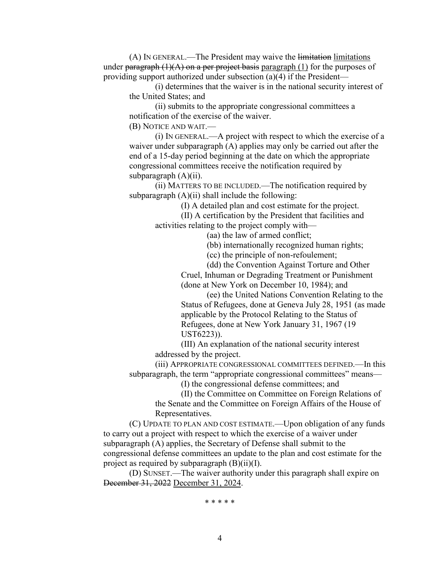(A) IN GENERAL.—The President may waive the limitation limitations under paragraph  $(1)(A)$  on a per project basis paragraph  $(1)$  for the purposes of providing support authorized under subsection (a)(4) if the President—

(i) determines that the waiver is in the national security interest of the United States; and

(ii) submits to the appropriate congressional committees a notification of the exercise of the waiver.

(B) NOTICE AND WAIT.—

(i) IN GENERAL.—A project with respect to which the exercise of a waiver under subparagraph (A) applies may only be carried out after the end of a 15-day period beginning at the date on which the appropriate congressional committees receive the notification required by subparagraph  $(A)(ii)$ .

(ii) MATTERS TO BE INCLUDED.—The notification required by subparagraph  $(A)(ii)$  shall include the following:

(I) A detailed plan and cost estimate for the project.

(II) A certification by the President that facilities and activities relating to the project comply with—

(aa) the law of armed conflict;

(bb) internationally recognized human rights;

(cc) the principle of non-refoulement;

(dd) the Convention Against Torture and Other

Cruel, Inhuman or Degrading Treatment or Punishment (done at New York on December 10, 1984); and

(ee) the United Nations Convention Relating to the Status of Refugees, done at Geneva July 28, 1951 (as made applicable by the Protocol Relating to the Status of Refugees, done at New York January 31, 1967 (19 UST6223)).

(III) An explanation of the national security interest addressed by the project.

(iii) APPROPRIATE CONGRESSIONAL COMMITTEES DEFINED.—In this subparagraph, the term "appropriate congressional committees" means—

(I) the congressional defense committees; and

(II) the Committee on Committee on Foreign Relations of

the Senate and the Committee on Foreign Affairs of the House of Representatives.

(C) UPDATE TO PLAN AND COST ESTIMATE.—Upon obligation of any funds to carry out a project with respect to which the exercise of a waiver under subparagraph (A) applies, the Secretary of Defense shall submit to the congressional defense committees an update to the plan and cost estimate for the project as required by subparagraph  $(B)(ii)(I)$ .

(D) SUNSET.—The waiver authority under this paragraph shall expire on December 31, 2022 December 31, 2024.

\* \* \* \* \*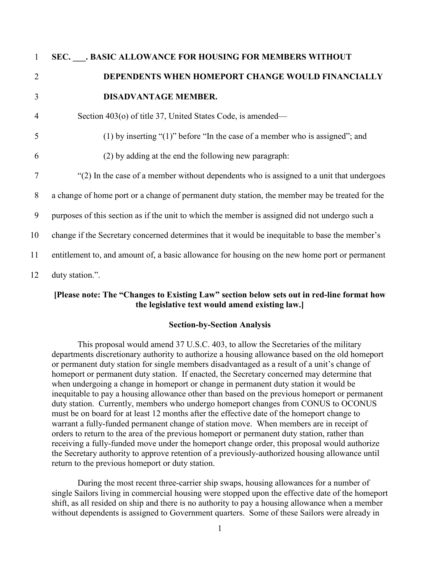| $\mathbf{1}$   | SEC. BASIC ALLOWANCE FOR HOUSING FOR MEMBERS WITHOUT                                           |
|----------------|------------------------------------------------------------------------------------------------|
| $\overline{2}$ | DEPENDENTS WHEN HOMEPORT CHANGE WOULD FINANCIALLY                                              |
| 3              | <b>DISADVANTAGE MEMBER.</b>                                                                    |
| 4              | Section 403(o) of title 37, United States Code, is amended—                                    |
| 5              | (1) by inserting " $(1)$ " before "In the case of a member who is assigned"; and               |
| 6              | (2) by adding at the end the following new paragraph:                                          |
| 7              | "(2) In the case of a member without dependents who is assigned to a unit that undergoes       |
| 8              | a change of home port or a change of permanent duty station, the member may be treated for the |
| 9              | purposes of this section as if the unit to which the member is assigned did not undergo such a |
| 10             | change if the Secretary concerned determines that it would be inequitable to base the member's |
| 11             | entitlement to, and amount of, a basic allowance for housing on the new home port or permanent |
| 12             | duty station.".                                                                                |

#### **[Please note: The "Changes to Existing Law" section below sets out in red-line format how the legislative text would amend existing law.]**

#### **Section-by-Section Analysis**

This proposal would amend 37 U.S.C. 403, to allow the Secretaries of the military departments discretionary authority to authorize a housing allowance based on the old homeport or permanent duty station for single members disadvantaged as a result of a unit's change of homeport or permanent duty station. If enacted, the Secretary concerned may determine that when undergoing a change in homeport or change in permanent duty station it would be inequitable to pay a housing allowance other than based on the previous homeport or permanent duty station. Currently, members who undergo homeport changes from CONUS to OCONUS must be on board for at least 12 months after the effective date of the homeport change to warrant a fully-funded permanent change of station move. When members are in receipt of orders to return to the area of the previous homeport or permanent duty station, rather than receiving a fully-funded move under the homeport change order, this proposal would authorize the Secretary authority to approve retention of a previously-authorized housing allowance until return to the previous homeport or duty station.

During the most recent three-carrier ship swaps, housing allowances for a number of single Sailors living in commercial housing were stopped upon the effective date of the homeport shift, as all resided on ship and there is no authority to pay a housing allowance when a member without dependents is assigned to Government quarters. Some of these Sailors were already in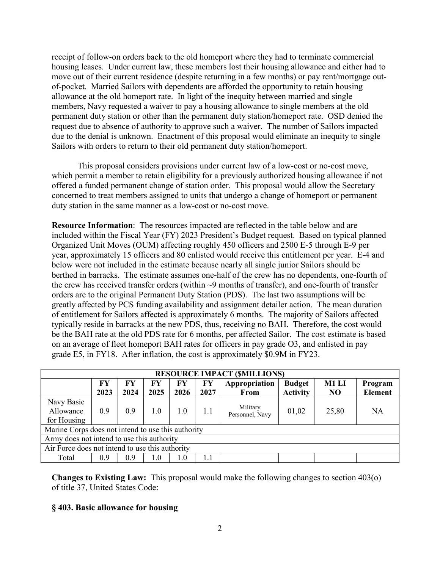receipt of follow-on orders back to the old homeport where they had to terminate commercial housing leases. Under current law, these members lost their housing allowance and either had to move out of their current residence (despite returning in a few months) or pay rent/mortgage outof-pocket. Married Sailors with dependents are afforded the opportunity to retain housing allowance at the old homeport rate. In light of the inequity between married and single members, Navy requested a waiver to pay a housing allowance to single members at the old permanent duty station or other than the permanent duty station/homeport rate. OSD denied the request due to absence of authority to approve such a waiver. The number of Sailors impacted due to the denial is unknown. Enactment of this proposal would eliminate an inequity to single Sailors with orders to return to their old permanent duty station/homeport.

This proposal considers provisions under current law of a low-cost or no-cost move, which permit a member to retain eligibility for a previously authorized housing allowance if not offered a funded permanent change of station order. This proposal would allow the Secretary concerned to treat members assigned to units that undergo a change of homeport or permanent duty station in the same manner as a low-cost or no-cost move.

**Resource Information**: The resources impacted are reflected in the table below and are included within the Fiscal Year (FY) 2023 President's Budget request. Based on typical planned Organized Unit Moves (OUM) affecting roughly 450 officers and 2500 E-5 through E-9 per year, approximately 15 officers and 80 enlisted would receive this entitlement per year. E-4 and below were not included in the estimate because nearly all single junior Sailors should be berthed in barracks. The estimate assumes one-half of the crew has no dependents, one-fourth of the crew has received transfer orders (within ~9 months of transfer), and one-fourth of transfer orders are to the original Permanent Duty Station (PDS). The last two assumptions will be greatly affected by PCS funding availability and assignment detailer action. The mean duration of entitlement for Sailors affected is approximately 6 months. The majority of Sailors affected typically reside in barracks at the new PDS, thus, receiving no BAH. Therefore, the cost would be the BAH rate at the old PDS rate for 6 months, per affected Sailor. The cost estimate is based on an average of fleet homeport BAH rates for officers in pay grade O3, and enlisted in pay grade E5, in FY18. After inflation, the cost is approximately \$0.9M in FY23.

|                                                 | <b>RESOURCE IMPACT (SMILLIONS)</b>                 |            |            |            |            |                             |                                  |                         |                           |
|-------------------------------------------------|----------------------------------------------------|------------|------------|------------|------------|-----------------------------|----------------------------------|-------------------------|---------------------------|
|                                                 | FY<br>2023                                         | FY<br>2024 | FY<br>2025 | FY<br>2026 | FY<br>2027 | Appropriation<br>From       | <b>Budget</b><br><b>Activity</b> | M1 LI<br>N <sub>O</sub> | Program<br><b>Element</b> |
| Navy Basic<br>Allowance<br>for Housing          | 0.9                                                | 0.9        | 1.0        | 1.0        | 1.1        | Military<br>Personnel, Navy | 01,02                            | 25,80                   | <b>NA</b>                 |
|                                                 | Marine Corps does not intend to use this authority |            |            |            |            |                             |                                  |                         |                           |
|                                                 | Army does not intend to use this authority         |            |            |            |            |                             |                                  |                         |                           |
| Air Force does not intend to use this authority |                                                    |            |            |            |            |                             |                                  |                         |                           |
| Total                                           | 0.9                                                | 0.9        | 1.0        | $1.0\,$    | 1.1        |                             |                                  |                         |                           |

**Changes to Existing Law:** This proposal would make the following changes to section 403(o) of title 37, United States Code:

#### **§ 403. Basic allowance for housing**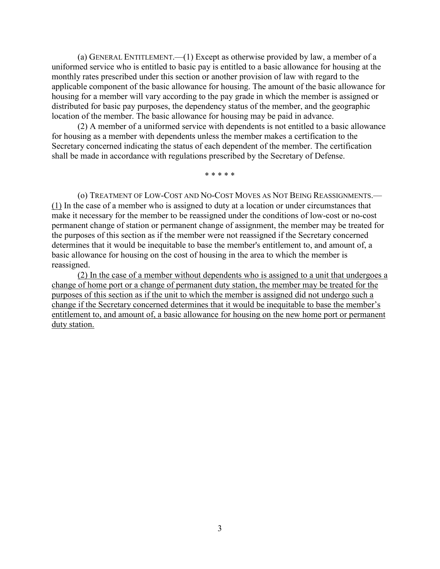(a) GENERAL ENTITLEMENT.—(1) Except as otherwise provided by law, a member of a uniformed service who is entitled to basic pay is entitled to a basic allowance for housing at the monthly rates prescribed under this section or another provision of law with regard to the applicable component of the basic allowance for housing. The amount of the basic allowance for housing for a member will vary according to the pay grade in which the member is assigned or distributed for basic pay purposes, the dependency status of the member, and the geographic location of the member. The basic allowance for housing may be paid in advance.

(2) A member of a uniformed service with dependents is not entitled to a basic allowance for housing as a member with dependents unless the member makes a certification to the Secretary concerned indicating the status of each dependent of the member. The certification shall be made in accordance with regulations prescribed by the Secretary of Defense.

\* \* \* \* \*

(o) TREATMENT OF LOW-COST AND NO-COST MOVES AS NOT BEING REASSIGNMENTS.— (1) In the case of a member who is assigned to duty at a location or under circumstances that make it necessary for the member to be reassigned under the conditions of low-cost or no-cost permanent change of station or permanent change of assignment, the member may be treated for the purposes of this section as if the member were not reassigned if the Secretary concerned determines that it would be inequitable to base the member's entitlement to, and amount of, a basic allowance for housing on the cost of housing in the area to which the member is reassigned.

(2) In the case of a member without dependents who is assigned to a unit that undergoes a change of home port or a change of permanent duty station, the member may be treated for the purposes of this section as if the unit to which the member is assigned did not undergo such a change if the Secretary concerned determines that it would be inequitable to base the member's entitlement to, and amount of, a basic allowance for housing on the new home port or permanent duty station.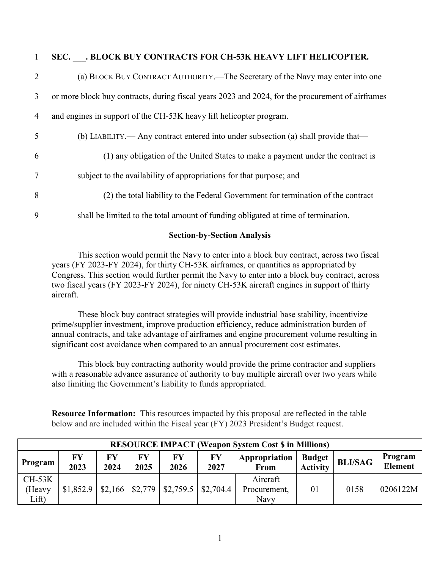| $\mathbf{1}$   | SEC. BLOCK BUY CONTRACTS FOR CH-53K HEAVY LIFT HELICOPTER.                                       |
|----------------|--------------------------------------------------------------------------------------------------|
| $\overline{2}$ | (a) BLOCK BUY CONTRACT AUTHORITY.—The Secretary of the Navy may enter into one                   |
| 3              | or more block buy contracts, during fiscal years 2023 and 2024, for the procurement of airframes |
| $\overline{4}$ | and engines in support of the CH-53K heavy lift helicopter program.                              |
| 5              | (b) LIABILITY.— Any contract entered into under subsection (a) shall provide that—               |
| 6              | (1) any obligation of the United States to make a payment under the contract is                  |
| $\overline{7}$ | subject to the availability of appropriations for that purpose; and                              |
| 8              | (2) the total liability to the Federal Government for termination of the contract                |
| 9              | shall be limited to the total amount of funding obligated at time of termination.                |

#### **Section-by-Section Analysis**

This section would permit the Navy to enter into a block buy contract, across two fiscal years (FY 2023-FY 2024), for thirty CH-53K airframes, or quantities as appropriated by Congress. This section would further permit the Navy to enter into a block buy contract, across two fiscal years (FY 2023-FY 2024), for ninety CH-53K aircraft engines in support of thirty aircraft.

These block buy contract strategies will provide industrial base stability, incentivize prime/supplier investment, improve production efficiency, reduce administration burden of annual contracts, and take advantage of airframes and engine procurement volume resulting in significant cost avoidance when compared to an annual procurement cost estimates.

This block buy contracting authority would provide the prime contractor and suppliers with a reasonable advance assurance of authority to buy multiple aircraft over two years while also limiting the Government's liability to funds appropriated.

**Resource Information:** This resources impacted by this proposal are reflected in the table below and are included within the Fiscal year (FY) 2023 President's Budget request.

|                             | <b>RESOURCE IMPACT (Weapon System Cost \$ in Millions)</b> |            |            |                                                   |            |                                  |                                  |                |                           |
|-----------------------------|------------------------------------------------------------|------------|------------|---------------------------------------------------|------------|----------------------------------|----------------------------------|----------------|---------------------------|
| Program                     | FY<br>2023                                                 | FY<br>2024 | FY<br>2025 | FY<br>2026                                        | FY<br>2027 | Appropriation<br>From            | <b>Budget</b><br><b>Activity</b> | <b>BLI/SAG</b> | Program<br><b>Element</b> |
| $CH-53K$<br>(Heavy<br>Lift) | \$1,852.9                                                  |            |            | $\vert$ \$2,166   \$2,779   \$2,759.5   \$2,704.4 |            | Aircraft<br>Procurement,<br>Navy | 01                               | 0158           | 0206122M                  |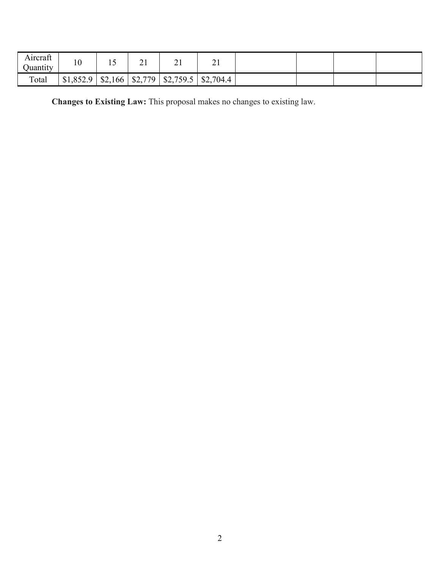| $\sim$<br>Aırcraft<br>Juantıty | $\Omega$<br>1 Q | ∸ ∽     | ∸ ⊥     | - 1       | - 1       |  |  |
|--------------------------------|-----------------|---------|---------|-----------|-----------|--|--|
| Total                          | \$1,852.9<br>u  | \$2,166 | \$2,779 | \$2,759.5 | \$2,704.4 |  |  |

**Changes to Existing Law:** This proposal makes no changes to existing law.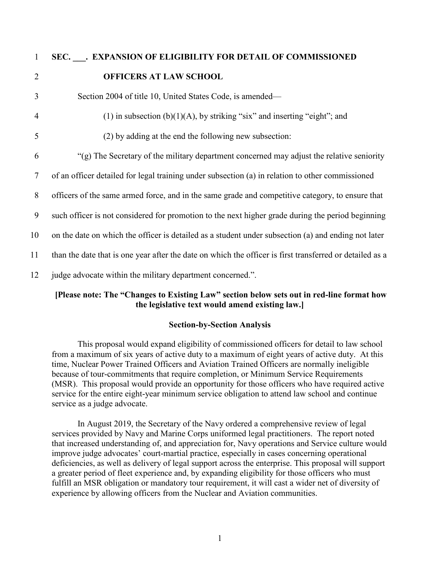# 1 **SEC. \_\_\_. EXPANSION OF ELIGIBILITY FOR DETAIL OF COMMISSIONED**  2 **OFFICERS AT LAW SCHOOL** 3 Section 2004 of title 10, United States Code, is amended— 4 (1) in subsection (b)(1)(A), by striking "six" and inserting "eight"; and 5 (2) by adding at the end the following new subsection: 6 "(g) The Secretary of the military department concerned may adjust the relative seniority 7 of an officer detailed for legal training under subsection (a) in relation to other commissioned 8 officers of the same armed force, and in the same grade and competitive category, to ensure that 9 such officer is not considered for promotion to the next higher grade during the period beginning 10 on the date on which the officer is detailed as a student under subsection (a) and ending not later 11 than the date that is one year after the date on which the officer is first transferred or detailed as a 12 judge advocate within the military department concerned.".

# **[Please note: The "Changes to Existing Law" section below sets out in red-line format how the legislative text would amend existing law.]**

# **Section-by-Section Analysis**

This proposal would expand eligibility of commissioned officers for detail to law school from a maximum of six years of active duty to a maximum of eight years of active duty. At this time, Nuclear Power Trained Officers and Aviation Trained Officers are normally ineligible because of tour-commitments that require completion, or Minimum Service Requirements (MSR). This proposal would provide an opportunity for those officers who have required active service for the entire eight-year minimum service obligation to attend law school and continue service as a judge advocate.

In August 2019, the Secretary of the Navy ordered a comprehensive review of legal services provided by Navy and Marine Corps uniformed legal practitioners. The report noted that increased understanding of, and appreciation for, Navy operations and Service culture would improve judge advocates' court-martial practice, especially in cases concerning operational deficiencies, as well as delivery of legal support across the enterprise. This proposal will support a greater period of fleet experience and, by expanding eligibility for those officers who must fulfill an MSR obligation or mandatory tour requirement, it will cast a wider net of diversity of experience by allowing officers from the Nuclear and Aviation communities.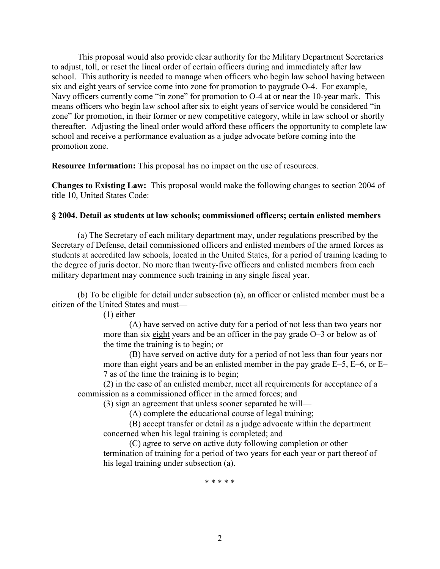This proposal would also provide clear authority for the Military Department Secretaries to adjust, toll, or reset the lineal order of certain officers during and immediately after law school. This authority is needed to manage when officers who begin law school having between six and eight years of service come into zone for promotion to paygrade O-4. For example, Navy officers currently come "in zone" for promotion to O-4 at or near the 10-year mark. This means officers who begin law school after six to eight years of service would be considered "in zone" for promotion, in their former or new competitive category, while in law school or shortly thereafter. Adjusting the lineal order would afford these officers the opportunity to complete law school and receive a performance evaluation as a judge advocate before coming into the promotion zone.

**Resource Information:** This proposal has no impact on the use of resources.

**Changes to Existing Law:** This proposal would make the following changes to section 2004 of title 10, United States Code:

#### **§ 2004. Detail as students at law schools; commissioned officers; certain enlisted members**

(a) The Secretary of each military department may, under regulations prescribed by the Secretary of Defense, detail commissioned officers and enlisted members of the armed forces as students at accredited law schools, located in the United States, for a period of training leading to the degree of juris doctor. No more than twenty-five officers and enlisted members from each military department may commence such training in any single fiscal year.

(b) To be eligible for detail under subsection (a), an officer or enlisted member must be a citizen of the United States and must—

(1) either—

(A) have served on active duty for a period of not less than two years nor more than  $s$ ix eight years and be an officer in the pay grade O–3 or below as of the time the training is to begin; or

(B) have served on active duty for a period of not less than four years nor more than eight years and be an enlisted member in the pay grade E–5, E–6, or E– 7 as of the time the training is to begin;

(2) in the case of an enlisted member, meet all requirements for acceptance of a commission as a commissioned officer in the armed forces; and

(3) sign an agreement that unless sooner separated he will—

(A) complete the educational course of legal training;

(B) accept transfer or detail as a judge advocate within the department concerned when his legal training is completed; and

(C) agree to serve on active duty following completion or other termination of training for a period of two years for each year or part thereof of his legal training under subsection (a).

\* \* \* \* \*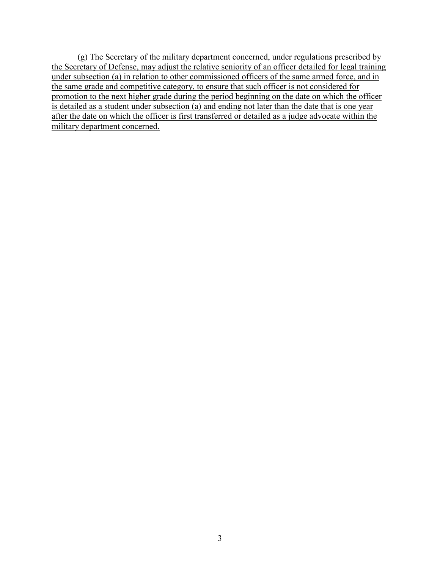(g) The Secretary of the military department concerned, under regulations prescribed by the Secretary of Defense, may adjust the relative seniority of an officer detailed for legal training under subsection (a) in relation to other commissioned officers of the same armed force, and in the same grade and competitive category, to ensure that such officer is not considered for promotion to the next higher grade during the period beginning on the date on which the officer is detailed as a student under subsection (a) and ending not later than the date that is one year after the date on which the officer is first transferred or detailed as a judge advocate within the military department concerned.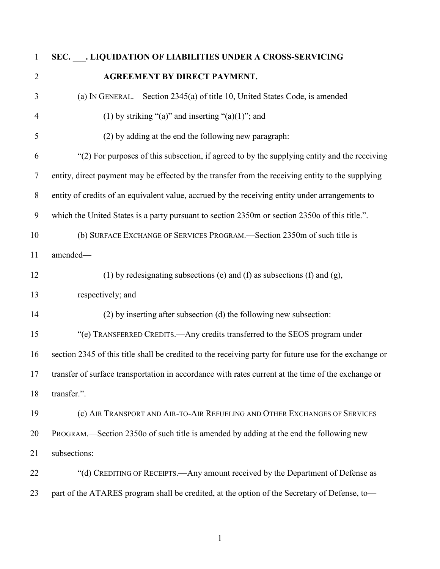| $\mathbf{1}$   | SEC. . LIQUIDATION OF LIABILITIES UNDER A CROSS-SERVICING                                              |
|----------------|--------------------------------------------------------------------------------------------------------|
| $\overline{2}$ | <b>AGREEMENT BY DIRECT PAYMENT.</b>                                                                    |
| 3              | (a) IN GENERAL.—Section 2345(a) of title 10, United States Code, is amended—                           |
| 4              | (1) by striking "(a)" and inserting "(a)(1)"; and                                                      |
| 5              | (2) by adding at the end the following new paragraph:                                                  |
| 6              | "(2) For purposes of this subsection, if agreed to by the supplying entity and the receiving           |
| 7              | entity, direct payment may be effected by the transfer from the receiving entity to the supplying      |
| $8\phantom{.}$ | entity of credits of an equivalent value, accrued by the receiving entity under arrangements to        |
| 9              | which the United States is a party pursuant to section 2350m or section 2350o of this title.".         |
| 10             | (b) SURFACE EXCHANGE OF SERVICES PROGRAM.—Section 2350m of such title is                               |
| 11             | amended-                                                                                               |
| 12             | (1) by redesignating subsections (e) and (f) as subsections (f) and (g),                               |
| 13             | respectively; and                                                                                      |
| 14             | (2) by inserting after subsection (d) the following new subsection:                                    |
| 15             | "(e) TRANSFERRED CREDITS. - Any credits transferred to the SEOS program under                          |
| 16             | section 2345 of this title shall be credited to the receiving party for future use for the exchange or |
| 17             | transfer of surface transportation in accordance with rates current at the time of the exchange or     |
| 18             | transfer.".                                                                                            |
| 19             | (c) AIR TRANSPORT AND AIR-TO-AIR REFUELING AND OTHER EXCHANGES OF SERVICES                             |
| 20             | PROGRAM.—Section 2350o of such title is amended by adding at the end the following new                 |
| 21             | subsections:                                                                                           |
| 22             | "(d) CREDITING OF RECEIPTS.—Any amount received by the Department of Defense as                        |
| 23             | part of the ATARES program shall be credited, at the option of the Secretary of Defense, to-           |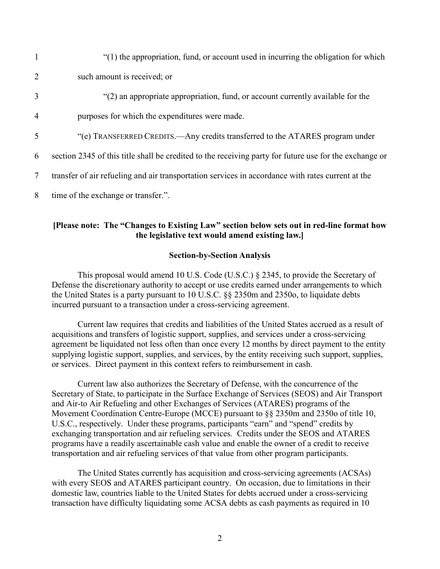| $\mathbf{1}$   | "(1) the appropriation, fund, or account used in incurring the obligation for which                    |
|----------------|--------------------------------------------------------------------------------------------------------|
| 2              | such amount is received; or                                                                            |
| 3              | "(2) an appropriate appropriation, fund, or account currently available for the                        |
| $\overline{4}$ | purposes for which the expenditures were made.                                                         |
| 5              | "(e) TRANSFERRED CREDITS.—Any credits transferred to the ATARES program under                          |
| 6              | section 2345 of this title shall be credited to the receiving party for future use for the exchange or |
| 7              | transfer of air refueling and air transportation services in accordance with rates current at the      |
| 8              | time of the exchange or transfer.".                                                                    |

#### **[Please note: The "Changes to Existing Law" section below sets out in red-line format how the legislative text would amend existing law.]**

#### **Section-by-Section Analysis**

This proposal would amend 10 U.S. Code (U.S.C.) § 2345, to provide the Secretary of Defense the discretionary authority to accept or use credits earned under arrangements to which the United States is a party pursuant to 10 U.S.C. §§ 2350m and 2350o, to liquidate debts incurred pursuant to a transaction under a cross-servicing agreement.

Current law requires that credits and liabilities of the United States accrued as a result of acquisitions and transfers of logistic support, supplies, and services under a cross-servicing agreement be liquidated not less often than once every 12 months by direct payment to the entity supplying logistic support, supplies, and services, by the entity receiving such support, supplies, or services. Direct payment in this context refers to reimbursement in cash.

Current law also authorizes the Secretary of Defense, with the concurrence of the Secretary of State, to participate in the Surface Exchange of Services (SEOS) and Air Transport and Air-to Air Refueling and other Exchanges of Services (ATARES) programs of the Movement Coordination Centre-Europe (MCCE) pursuant to §§ 2350m and 2350o of title 10, U.S.C., respectively. Under these programs, participants "earn" and "spend" credits by exchanging transportation and air refueling services. Credits under the SEOS and ATARES programs have a readily ascertainable cash value and enable the owner of a credit to receive transportation and air refueling services of that value from other program participants.

The United States currently has acquisition and cross-servicing agreements (ACSAs) with every SEOS and ATARES participant country. On occasion, due to limitations in their domestic law, countries liable to the United States for debts accrued under a cross-servicing transaction have difficulty liquidating some ACSA debts as cash payments as required in 10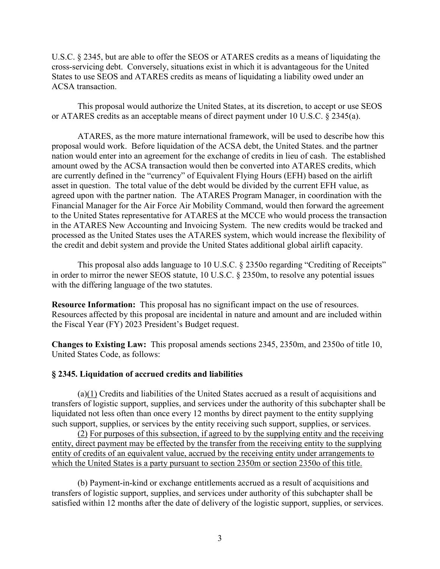U.S.C. § 2345, but are able to offer the SEOS or ATARES credits as a means of liquidating the cross-servicing debt. Conversely, situations exist in which it is advantageous for the United States to use SEOS and ATARES credits as means of liquidating a liability owed under an ACSA transaction.

This proposal would authorize the United States, at its discretion, to accept or use SEOS or ATARES credits as an acceptable means of direct payment under 10 U.S.C. § 2345(a).

ATARES, as the more mature international framework, will be used to describe how this proposal would work. Before liquidation of the ACSA debt, the United States. and the partner nation would enter into an agreement for the exchange of credits in lieu of cash. The established amount owed by the ACSA transaction would then be converted into ATARES credits, which are currently defined in the "currency" of Equivalent Flying Hours (EFH) based on the airlift asset in question. The total value of the debt would be divided by the current EFH value, as agreed upon with the partner nation. The ATARES Program Manager, in coordination with the Financial Manager for the Air Force Air Mobility Command, would then forward the agreement to the United States representative for ATARES at the MCCE who would process the transaction in the ATARES New Accounting and Invoicing System. The new credits would be tracked and processed as the United States uses the ATARES system, which would increase the flexibility of the credit and debit system and provide the United States additional global airlift capacity.

This proposal also adds language to 10 U.S.C. § 2350o regarding "Crediting of Receipts" in order to mirror the newer SEOS statute, 10 U.S.C. § 2350m, to resolve any potential issues with the differing language of the two statutes.

**Resource Information:** This proposal has no significant impact on the use of resources. Resources affected by this proposal are incidental in nature and amount and are included within the Fiscal Year (FY) 2023 President's Budget request.

**Changes to Existing Law:** This proposal amends sections 2345, 2350m, and 2350o of title 10, United States Code, as follows:

#### **§ 2345. Liquidation of accrued credits and liabilities**

(a)(1) Credits and liabilities of the United States accrued as a result of acquisitions and transfers of logistic support, supplies, and services under the authority of this subchapter shall be liquidated not less often than once every 12 months by direct payment to the entity supplying such support, supplies, or services by the entity receiving such support, supplies, or services.

(2) For purposes of this subsection, if agreed to by the supplying entity and the receiving entity, direct payment may be effected by the transfer from the receiving entity to the supplying entity of credits of an equivalent value, accrued by the receiving entity under arrangements to which the United States is a party pursuant to section 2350m or section 2350o of this title.

(b) Payment-in-kind or exchange entitlements accrued as a result of acquisitions and transfers of logistic support, supplies, and services under authority of this subchapter shall be satisfied within 12 months after the date of delivery of the logistic support, supplies, or services.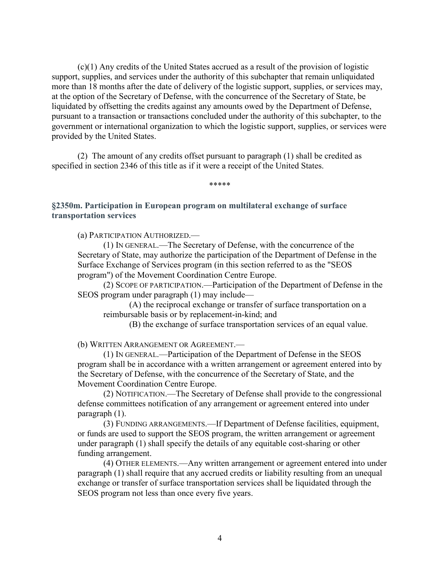(c)(1) Any credits of the United States accrued as a result of the provision of logistic support, supplies, and services under the authority of this subchapter that remain unliquidated more than 18 months after the date of delivery of the logistic support, supplies, or services may, at the option of the Secretary of Defense, with the concurrence of the Secretary of State, be liquidated by offsetting the credits against any amounts owed by the Department of Defense, pursuant to a transaction or transactions concluded under the authority of this subchapter, to the government or international organization to which the logistic support, supplies, or services were provided by the United States.

(2) The amount of any credits offset pursuant to paragraph (1) shall be credited as specified in section 2346 of this title as if it were a receipt of the United States.

\*\*\*\*\*

**§2350m. Participation in European program on multilateral exchange of surface transportation services**

(a) PARTICIPATION AUTHORIZED.—

(1) IN GENERAL.—The Secretary of Defense, with the concurrence of the Secretary of State, may authorize the participation of the Department of Defense in the Surface Exchange of Services program (in this section referred to as the "SEOS program") of the Movement Coordination Centre Europe.

(2) SCOPE OF PARTICIPATION.—Participation of the Department of Defense in the SEOS program under paragraph (1) may include—

(A) the reciprocal exchange or transfer of surface transportation on a reimbursable basis or by replacement-in-kind; and

(B) the exchange of surface transportation services of an equal value.

(b) WRITTEN ARRANGEMENT OR AGREEMENT.—

(1) IN GENERAL.—Participation of the Department of Defense in the SEOS program shall be in accordance with a written arrangement or agreement entered into by the Secretary of Defense, with the concurrence of the Secretary of State, and the Movement Coordination Centre Europe.

(2) NOTIFICATION.—The Secretary of Defense shall provide to the congressional defense committees notification of any arrangement or agreement entered into under paragraph (1).

(3) FUNDING ARRANGEMENTS.—If Department of Defense facilities, equipment, or funds are used to support the SEOS program, the written arrangement or agreement under paragraph (1) shall specify the details of any equitable cost-sharing or other funding arrangement.

(4) OTHER ELEMENTS.—Any written arrangement or agreement entered into under paragraph (1) shall require that any accrued credits or liability resulting from an unequal exchange or transfer of surface transportation services shall be liquidated through the SEOS program not less than once every five years.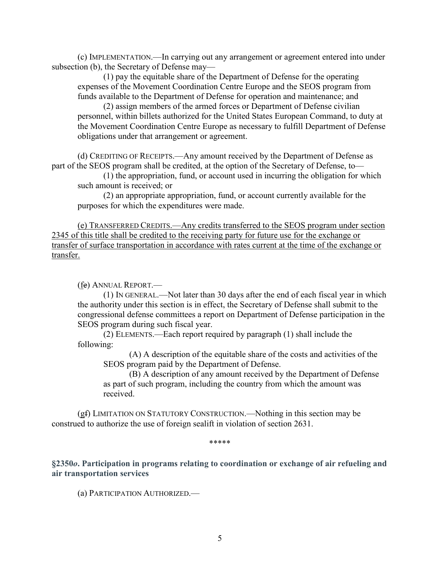(c) IMPLEMENTATION.—In carrying out any arrangement or agreement entered into under subsection (b), the Secretary of Defense may—

(1) pay the equitable share of the Department of Defense for the operating expenses of the Movement Coordination Centre Europe and the SEOS program from funds available to the Department of Defense for operation and maintenance; and

(2) assign members of the armed forces or Department of Defense civilian personnel, within billets authorized for the United States European Command, to duty at the Movement Coordination Centre Europe as necessary to fulfill Department of Defense obligations under that arrangement or agreement.

(d) CREDITING OF RECEIPTS.—Any amount received by the Department of Defense as part of the SEOS program shall be credited, at the option of the Secretary of Defense, to—

(1) the appropriation, fund, or account used in incurring the obligation for which such amount is received; or

(2) an appropriate appropriation, fund, or account currently available for the purposes for which the expenditures were made.

(e) TRANSFERRED CREDITS.—Any credits transferred to the SEOS program under section 2345 of this title shall be credited to the receiving party for future use for the exchange or transfer of surface transportation in accordance with rates current at the time of the exchange or transfer.

(fe) ANNUAL REPORT.—

(1) IN GENERAL.—Not later than 30 days after the end of each fiscal year in which the authority under this section is in effect, the Secretary of Defense shall submit to the congressional defense committees a report on Department of Defense participation in the SEOS program during such fiscal year.

(2) ELEMENTS.—Each report required by paragraph (1) shall include the following:

(A) A description of the equitable share of the costs and activities of the SEOS program paid by the Department of Defense.

(B) A description of any amount received by the Department of Defense as part of such program, including the country from which the amount was received.

(gf) LIMITATION ON STATUTORY CONSTRUCTION.—Nothing in this section may be construed to authorize the use of foreign sealift in violation of section 2631.

\*\*\*\*\*

**§2350***o***. Participation in programs relating to coordination or exchange of air refueling and air transportation services**

(a) PARTICIPATION AUTHORIZED.—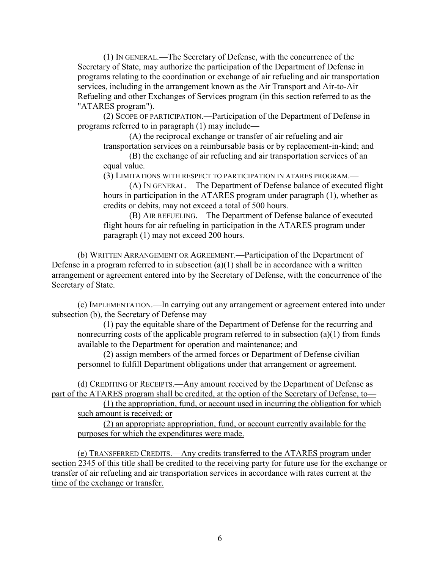(1) IN GENERAL.—The Secretary of Defense, with the concurrence of the Secretary of State, may authorize the participation of the Department of Defense in programs relating to the coordination or exchange of air refueling and air transportation services, including in the arrangement known as the Air Transport and Air-to-Air Refueling and other Exchanges of Services program (in this section referred to as the "ATARES program").

(2) SCOPE OF PARTICIPATION.—Participation of the Department of Defense in programs referred to in paragraph (1) may include—

(A) the reciprocal exchange or transfer of air refueling and air transportation services on a reimbursable basis or by replacement-in-kind; and

(B) the exchange of air refueling and air transportation services of an equal value.

(3) LIMITATIONS WITH RESPECT TO PARTICIPATION IN ATARES PROGRAM.—

(A) IN GENERAL.—The Department of Defense balance of executed flight hours in participation in the ATARES program under paragraph (1), whether as credits or debits, may not exceed a total of 500 hours.

(B) AIR REFUELING.—The Department of Defense balance of executed flight hours for air refueling in participation in the ATARES program under paragraph (1) may not exceed 200 hours.

(b) WRITTEN ARRANGEMENT OR AGREEMENT.—Participation of the Department of Defense in a program referred to in subsection  $(a)(1)$  shall be in accordance with a written arrangement or agreement entered into by the Secretary of Defense, with the concurrence of the Secretary of State.

(c) IMPLEMENTATION.—In carrying out any arrangement or agreement entered into under subsection (b), the Secretary of Defense may—

(1) pay the equitable share of the Department of Defense for the recurring and nonrecurring costs of the applicable program referred to in subsection (a)(1) from funds available to the Department for operation and maintenance; and

(2) assign members of the armed forces or Department of Defense civilian personnel to fulfill Department obligations under that arrangement or agreement.

(d) CREDITING OF RECEIPTS.—Any amount received by the Department of Defense as part of the ATARES program shall be credited, at the option of the Secretary of Defense, to—

(1) the appropriation, fund, or account used in incurring the obligation for which such amount is received; or

(2) an appropriate appropriation, fund, or account currently available for the purposes for which the expenditures were made.

(e) TRANSFERRED CREDITS.—Any credits transferred to the ATARES program under section 2345 of this title shall be credited to the receiving party for future use for the exchange or transfer of air refueling and air transportation services in accordance with rates current at the time of the exchange or transfer.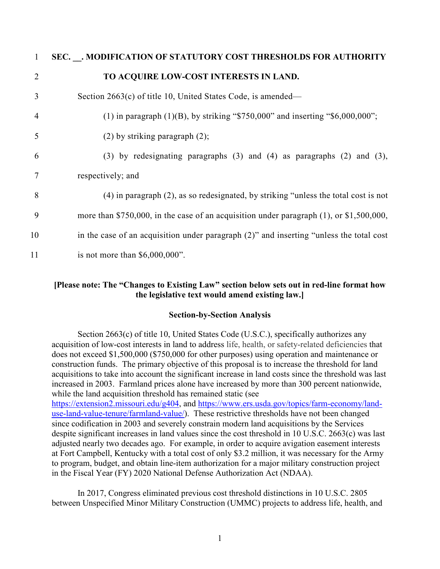| 1              | SEC. . MODIFICATION OF STATUTORY COST THRESHOLDS FOR AUTHORITY                             |
|----------------|--------------------------------------------------------------------------------------------|
| 2              | TO ACQUIRE LOW-COST INTERESTS IN LAND.                                                     |
| 3              | Section $2663(c)$ of title 10, United States Code, is amended—                             |
| $\overline{4}$ | (1) in paragraph $(1)(B)$ , by striking "\$750,000" and inserting "\$6,000,000";           |
| 5              | $(2)$ by striking paragraph $(2)$ ;                                                        |
| 6              | $(3)$ by redesignating paragraphs $(3)$ and $(4)$ as paragraphs $(2)$ and $(3)$ ,          |
|                | respectively; and                                                                          |
| 8              | $(4)$ in paragraph $(2)$ , as so redesignated, by striking "unless the total cost is not   |
| 9              | more than \$750,000, in the case of an acquisition under paragraph $(1)$ , or \$1,500,000, |
| 10             | in the case of an acquisition under paragraph (2)" and inserting "unless the total cost    |
| 11             | is not more than $$6,000,000$ ".                                                           |

#### **[Please note: The "Changes to Existing Law" section below sets out in red-line format how the legislative text would amend existing law.]**

#### **Section-by-Section Analysis**

Section 2663(c) of title 10, United States Code (U.S.C.), specifically authorizes any acquisition of low-cost interests in land to address life, health, or safety-related deficiencies that does not exceed \$1,500,000 (\$750,000 for other purposes) using operation and maintenance or construction funds. The primary objective of this proposal is to increase the threshold for land acquisitions to take into account the significant increase in land costs since the threshold was last increased in 2003. Farmland prices alone have increased by more than 300 percent nationwide, while the land acquisition threshold has remained static (see [https://extension2.missouri.edu/g404,](https://extension2.missouri.edu/g404) and [https://www.ers.usda.gov/topics/farm-economy/land](https://www.ers.usda.gov/topics/farm-economy/land-use-land-value-tenure/farmland-value/)[use-land-value-tenure/farmland-value/\)](https://www.ers.usda.gov/topics/farm-economy/land-use-land-value-tenure/farmland-value/). These restrictive thresholds have not been changed since codification in 2003 and severely constrain modern land acquisitions by the Services despite significant increases in land values since the cost threshold in 10 U.S.C. 2663(c) was last adjusted nearly two decades ago. For example, in order to acquire avigation easement interests at Fort Campbell, Kentucky with a total cost of only \$3.2 million, it was necessary for the Army to program, budget, and obtain line-item authorization for a major military construction project in the Fiscal Year (FY) 2020 National Defense Authorization Act (NDAA).

In 2017, Congress eliminated previous cost threshold distinctions in 10 U.S.C. 2805 between Unspecified Minor Military Construction (UMMC) projects to address life, health, and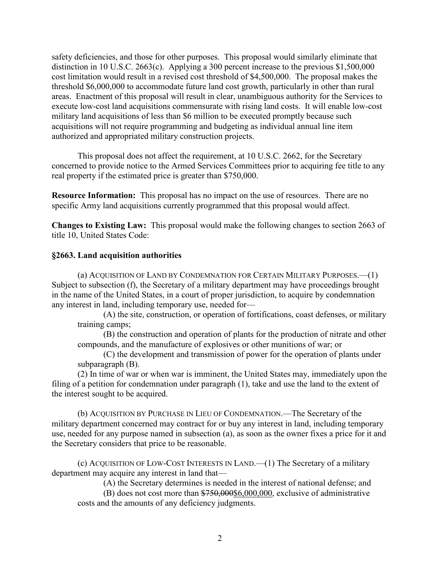safety deficiencies, and those for other purposes. This proposal would similarly eliminate that distinction in 10 U.S.C. 2663(c). Applying a 300 percent increase to the previous \$1,500,000 cost limitation would result in a revised cost threshold of \$4,500,000. The proposal makes the threshold \$6,000,000 to accommodate future land cost growth, particularly in other than rural areas. Enactment of this proposal will result in clear, unambiguous authority for the Services to execute low-cost land acquisitions commensurate with rising land costs. It will enable low-cost military land acquisitions of less than \$6 million to be executed promptly because such acquisitions will not require programming and budgeting as individual annual line item authorized and appropriated military construction projects.

This proposal does not affect the requirement, at 10 U.S.C. 2662, for the Secretary concerned to provide notice to the Armed Services Committees prior to acquiring fee title to any real property if the estimated price is greater than \$750,000.

**Resource Information:** This proposal has no impact on the use of resources. There are no specific Army land acquisitions currently programmed that this proposal would affect.

**Changes to Existing Law:** This proposal would make the following changes to section 2663 of title 10, United States Code:

#### **§2663. Land acquisition authorities**

(a) ACQUISITION OF LAND BY CONDEMNATION FOR CERTAIN MILITARY PURPOSES.—(1) Subject to subsection (f), the Secretary of a military department may have proceedings brought in the name of the United States, in a court of proper jurisdiction, to acquire by condemnation any interest in land, including temporary use, needed for—

(A) the site, construction, or operation of fortifications, coast defenses, or military training camps;

(B) the construction and operation of plants for the production of nitrate and other compounds, and the manufacture of explosives or other munitions of war; or

(C) the development and transmission of power for the operation of plants under subparagraph (B).

(2) In time of war or when war is imminent, the United States may, immediately upon the filing of a petition for condemnation under paragraph (1), take and use the land to the extent of the interest sought to be acquired.

(b) ACQUISITION BY PURCHASE IN LIEU OF CONDEMNATION.—The Secretary of the military department concerned may contract for or buy any interest in land, including temporary use, needed for any purpose named in subsection (a), as soon as the owner fixes a price for it and the Secretary considers that price to be reasonable.

(c) ACQUISITION OF LOW-COST INTERESTS IN LAND.—(1) The Secretary of a military department may acquire any interest in land that—

(A) the Secretary determines is needed in the interest of national defense; and

 $(B)$  does not cost more than  $$750,000$6,000,000$ , exclusive of administrative costs and the amounts of any deficiency judgments.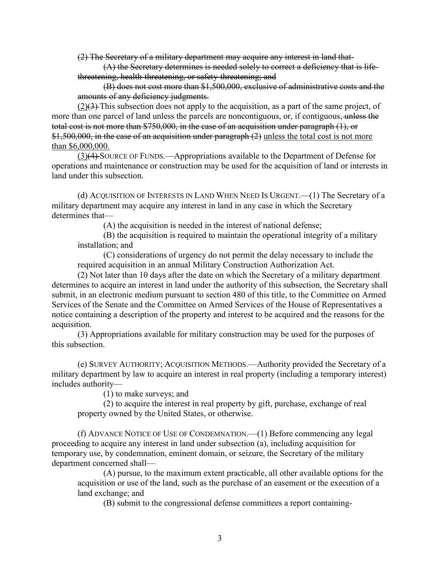(2) The Secretary of a military department may acquire any interest in land that-

(A) the Secretary determines is needed solely to correct a deficiency that is lifethreatening, health-threatening, or safety-threatening; and

(B) does not cost more than \$1,500,000, exclusive of administrative costs and the amounts of any deficiency judgments.

(2)(3) This subsection does not apply to the acquisition, as a part of the same project, of more than one parcel of land unless the parcels are noncontiguous, or, if contiguous, unless the total cost is not more than \$750,000, in the case of an acquisition under paragraph (1), or \$1,500,000, in the case of an acquisition under paragraph (2) unless the total cost is not more than \$6,000,000.

(3)(4) SOURCE OF FUNDS.—Appropriations available to the Department of Defense for operations and maintenance or construction may be used for the acquisition of land or interests in land under this subsection.

(d) ACQUISITION OF INTERESTS IN LAND WHEN NEED IS URGENT.—(1) The Secretary of a military department may acquire any interest in land in any case in which the Secretary determines that—

(A) the acquisition is needed in the interest of national defense;

(B) the acquisition is required to maintain the operational integrity of a military installation; and

(C) considerations of urgency do not permit the delay necessary to include the required acquisition in an annual Military Construction Authorization Act.

(2) Not later than 10 days after the date on which the Secretary of a military department determines to acquire an interest in land under the authority of this subsection, the Secretary shall submit, in an electronic medium pursuant to section 480 of this title, to the Committee on Armed Services of the Senate and the Committee on Armed Services of the House of Representatives a notice containing a description of the property and interest to be acquired and the reasons for the acquisition.

(3) Appropriations available for military construction may be used for the purposes of this subsection.

(e) SURVEY AUTHORITY; ACQUISITION METHODS.—Authority provided the Secretary of a military department by law to acquire an interest in real property (including a temporary interest) includes authority—

(1) to make surveys; and

(2) to acquire the interest in real property by gift, purchase, exchange of real property owned by the United States, or otherwise.

(f) ADVANCE NOTICE OF USE OF CONDEMNATION.—(1) Before commencing any legal proceeding to acquire any interest in land under subsection (a), including acquisition for temporary use, by condemnation, eminent domain, or seizure, the Secretary of the military department concerned shall—

(A) pursue, to the maximum extent practicable, all other available options for the acquisition or use of the land, such as the purchase of an easement or the execution of a land exchange; and

(B) submit to the congressional defense committees a report containing-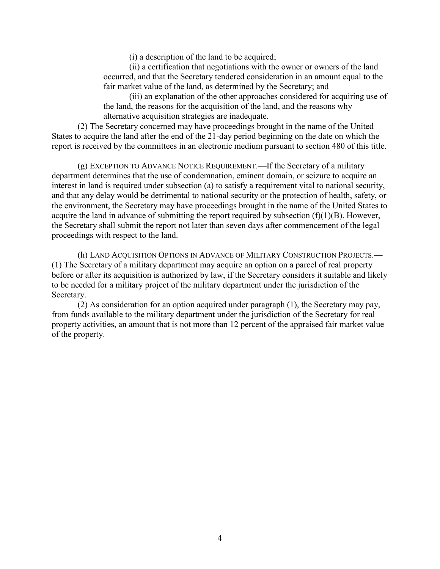(i) a description of the land to be acquired;

(ii) a certification that negotiations with the owner or owners of the land occurred, and that the Secretary tendered consideration in an amount equal to the fair market value of the land, as determined by the Secretary; and

(iii) an explanation of the other approaches considered for acquiring use of the land, the reasons for the acquisition of the land, and the reasons why alternative acquisition strategies are inadequate.

(2) The Secretary concerned may have proceedings brought in the name of the United States to acquire the land after the end of the 21-day period beginning on the date on which the report is received by the committees in an electronic medium pursuant to section 480 of this title.

(g) EXCEPTION TO ADVANCE NOTICE REQUIREMENT.—If the Secretary of a military department determines that the use of condemnation, eminent domain, or seizure to acquire an interest in land is required under subsection (a) to satisfy a requirement vital to national security, and that any delay would be detrimental to national security or the protection of health, safety, or the environment, the Secretary may have proceedings brought in the name of the United States to acquire the land in advance of submitting the report required by subsection  $(f)(1)(B)$ . However, the Secretary shall submit the report not later than seven days after commencement of the legal proceedings with respect to the land.

(h) LAND ACQUISITION OPTIONS IN ADVANCE OF MILITARY CONSTRUCTION PROJECTS.— (1) The Secretary of a military department may acquire an option on a parcel of real property before or after its acquisition is authorized by law, if the Secretary considers it suitable and likely to be needed for a military project of the military department under the jurisdiction of the Secretary.

(2) As consideration for an option acquired under paragraph (1), the Secretary may pay, from funds available to the military department under the jurisdiction of the Secretary for real property activities, an amount that is not more than 12 percent of the appraised fair market value of the property.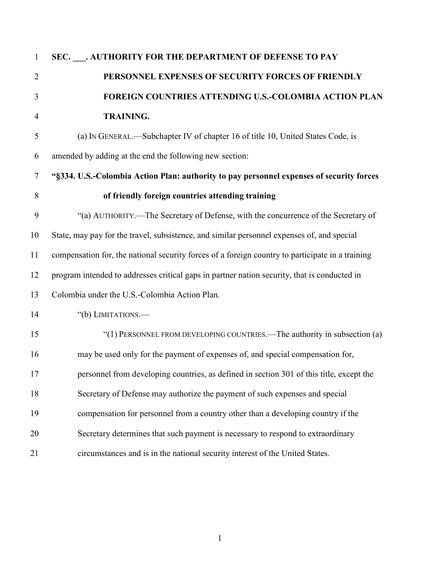| $\mathbf{1}$   | SEC. . AUTHORITY FOR THE DEPARTMENT OF DEFENSE TO PAY                                            |
|----------------|--------------------------------------------------------------------------------------------------|
| $\overline{2}$ | PERSONNEL EXPENSES OF SECURITY FORCES OF FRIENDLY                                                |
| 3              | FOREIGN COUNTRIES ATTENDING U.S.-COLOMBIA ACTION PLAN                                            |
| $\overline{4}$ | <b>TRAINING.</b>                                                                                 |
| 5              | (a) IN GENERAL.—Subchapter IV of chapter 16 of title 10, United States Code, is                  |
| 6              | amended by adding at the end the following new section:                                          |
| $\tau$         | "§334. U.S.-Colombia Action Plan: authority to pay personnel expenses of security forces         |
| 8              | of friendly foreign countries attending training                                                 |
| 9              | "(a) AUTHORITY.—The Secretary of Defense, with the concurrence of the Secretary of               |
| 10             | State, may pay for the travel, subsistence, and similar personnel expenses of, and special       |
| 11             | compensation for, the national security forces of a foreign country to participate in a training |
| 12             | program intended to addresses critical gaps in partner nation security, that is conducted in     |
| 13             | Colombia under the U.S.-Colombia Action Plan.                                                    |
| 14             | "(b) LIMITATIONS.—                                                                               |
| 15             | "(1) PERSONNEL FROM DEVELOPING COUNTRIES.—The authority in subsection (a)                        |
| 16             | may be used only for the payment of expenses of, and special compensation for,                   |
| 17             | personnel from developing countries, as defined in section 301 of this title, except the         |
| 18             | Secretary of Defense may authorize the payment of such expenses and special                      |
| 19             | compensation for personnel from a country other than a developing country if the                 |
| 20             | Secretary determines that such payment is necessary to respond to extraordinary                  |
| 21             | circumstances and is in the national security interest of the United States.                     |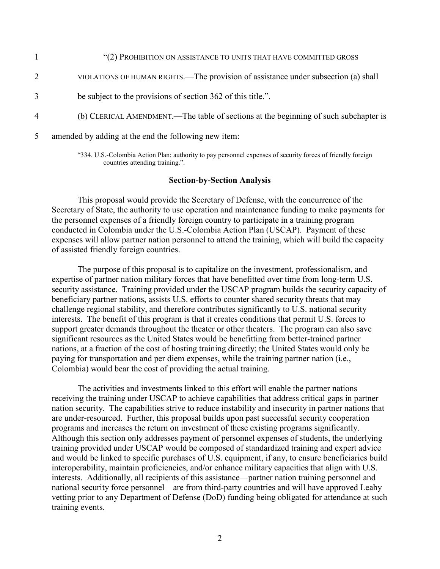|                | "(2) PROHIBITION ON ASSISTANCE TO UNITS THAT HAVE COMMITTED GROSS                    |
|----------------|--------------------------------------------------------------------------------------|
|                | VIOLATIONS OF HUMAN RIGHTS.—The provision of assistance under subsection (a) shall   |
| 3              | be subject to the provisions of section 362 of this title.".                         |
| $\overline{4}$ | (b) CLERICAL AMENDMENT.—The table of sections at the beginning of such subchapter is |
| 5              | amended by adding at the end the following new item:                                 |

"334. U.S.-Colombia Action Plan: authority to pay personnel expenses of security forces of friendly foreign countries attending training.".

#### **Section-by-Section Analysis**

This proposal would provide the Secretary of Defense, with the concurrence of the Secretary of State, the authority to use operation and maintenance funding to make payments for the personnel expenses of a friendly foreign country to participate in a training program conducted in Colombia under the U.S.-Colombia Action Plan (USCAP). Payment of these expenses will allow partner nation personnel to attend the training, which will build the capacity of assisted friendly foreign countries.

The purpose of this proposal is to capitalize on the investment, professionalism, and expertise of partner nation military forces that have benefitted over time from long-term U.S. security assistance. Training provided under the USCAP program builds the security capacity of beneficiary partner nations, assists U.S. efforts to counter shared security threats that may challenge regional stability, and therefore contributes significantly to U.S. national security interests. The benefit of this program is that it creates conditions that permit U.S. forces to support greater demands throughout the theater or other theaters. The program can also save significant resources as the United States would be benefitting from better-trained partner nations, at a fraction of the cost of hosting training directly; the United States would only be paying for transportation and per diem expenses, while the training partner nation (i.e., Colombia) would bear the cost of providing the actual training.

The activities and investments linked to this effort will enable the partner nations receiving the training under USCAP to achieve capabilities that address critical gaps in partner nation security. The capabilities strive to reduce instability and insecurity in partner nations that are under-resourced. Further, this proposal builds upon past successful security cooperation programs and increases the return on investment of these existing programs significantly. Although this section only addresses payment of personnel expenses of students, the underlying training provided under USCAP would be composed of standardized training and expert advice and would be linked to specific purchases of U.S. equipment, if any, to ensure beneficiaries build interoperability, maintain proficiencies, and/or enhance military capacities that align with U.S. interests. Additionally, all recipients of this assistance—partner nation training personnel and national security force personnel—are from third-party countries and will have approved Leahy vetting prior to any Department of Defense (DoD) funding being obligated for attendance at such training events.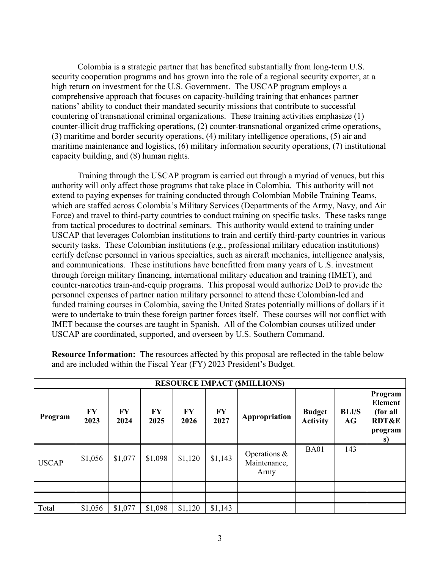Colombia is a strategic partner that has benefited substantially from long-term U.S. security cooperation programs and has grown into the role of a regional security exporter, at a high return on investment for the U.S. Government. The USCAP program employs a comprehensive approach that focuses on capacity-building training that enhances partner nations' ability to conduct their mandated security missions that contribute to successful countering of transnational criminal organizations. These training activities emphasize (1) counter-illicit drug trafficking operations, (2) counter-transnational organized crime operations, (3) maritime and border security operations, (4) military intelligence operations, (5) air and maritime maintenance and logistics, (6) military information security operations, (7) institutional capacity building, and (8) human rights.

Training through the USCAP program is carried out through a myriad of venues, but this authority will only affect those programs that take place in Colombia. This authority will not extend to paying expenses for training conducted through Colombian Mobile Training Teams, which are staffed across Colombia's Military Services (Departments of the Army, Navy, and Air Force) and travel to third-party countries to conduct training on specific tasks. These tasks range from tactical procedures to doctrinal seminars. This authority would extend to training under USCAP that leverages Colombian institutions to train and certify third-party countries in various security tasks. These Colombian institutions (e.g., professional military education institutions) certify defense personnel in various specialties, such as aircraft mechanics, intelligence analysis, and communications. These institutions have benefitted from many years of U.S. investment through foreign military financing, international military education and training (IMET), and counter-narcotics train-and-equip programs. This proposal would authorize DoD to provide the personnel expenses of partner nation military personnel to attend these Colombian-led and funded training courses in Colombia, saving the United States potentially millions of dollars if it were to undertake to train these foreign partner forces itself. These courses will not conflict with IMET because the courses are taught in Spanish. All of the Colombian courses utilized under USCAP are coordinated, supported, and overseen by U.S. Southern Command.

|              | <b>RESOURCE IMPACT (\$MILLIONS)</b> |            |            |            |                   |                                         |                                  |                    |                                                                            |  |  |  |  |
|--------------|-------------------------------------|------------|------------|------------|-------------------|-----------------------------------------|----------------------------------|--------------------|----------------------------------------------------------------------------|--|--|--|--|
| Program      | <b>FY</b><br>2023                   | FY<br>2024 | FY<br>2025 | FY<br>2026 | <b>FY</b><br>2027 | Appropriation                           | <b>Budget</b><br><b>Activity</b> | <b>BLI/S</b><br>AG | Program<br><b>Element</b><br>(for all<br><b>RDT&amp;E</b><br>program<br>S) |  |  |  |  |
| <b>USCAP</b> | \$1,056                             | \$1,077    | \$1,098    | \$1,120    | \$1,143           | Operations $\&$<br>Maintenance,<br>Army | <b>BA01</b>                      | 143                |                                                                            |  |  |  |  |
|              |                                     |            |            |            |                   |                                         |                                  |                    |                                                                            |  |  |  |  |
|              |                                     |            |            |            |                   |                                         |                                  |                    |                                                                            |  |  |  |  |
| Total        | \$1,056                             | \$1,077    | \$1,098    | \$1,120    | \$1,143           |                                         |                                  |                    |                                                                            |  |  |  |  |

**Resource Information:** The resources affected by this proposal are reflected in the table below and are included within the Fiscal Year (FY) 2023 President's Budget.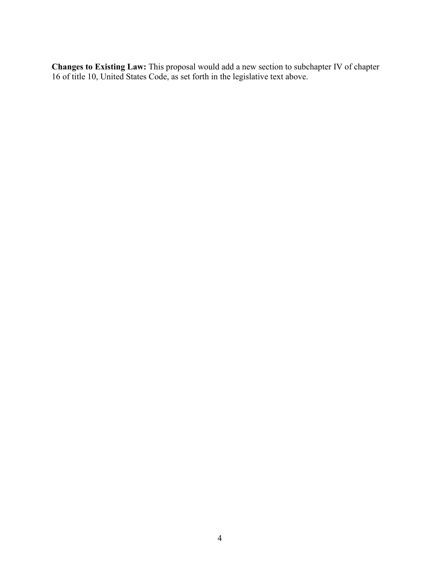**Changes to Existing Law:** This proposal would add a new section to subchapter IV of chapter 16 of title 10, United States Code, as set forth in the legislative text above.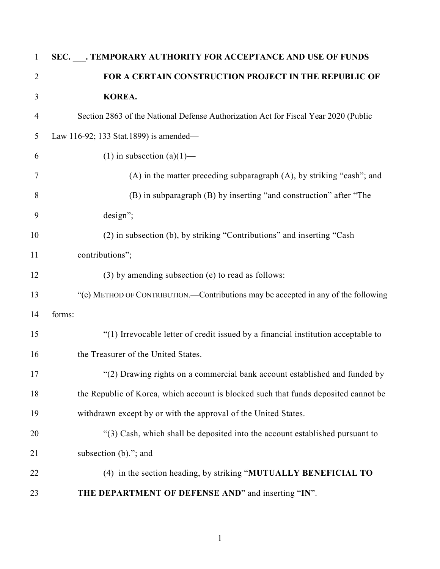| $\mathbf{1}$   | SEC. ___. TEMPORARY AUTHORITY FOR ACCEPTANCE AND USE OF FUNDS                       |
|----------------|-------------------------------------------------------------------------------------|
| $\overline{2}$ | FOR A CERTAIN CONSTRUCTION PROJECT IN THE REPUBLIC OF                               |
| 3              | KOREA.                                                                              |
| $\overline{4}$ | Section 2863 of the National Defense Authorization Act for Fiscal Year 2020 (Public |
| 5              | Law 116-92; 133 Stat.1899) is amended—                                              |
| 6              | (1) in subsection (a)(1)—                                                           |
| 7              | (A) in the matter preceding subparagraph (A), by striking "cash"; and               |
| 8              | (B) in subparagraph (B) by inserting "and construction" after "The                  |
| 9              | design";                                                                            |
| 10             | (2) in subsection (b), by striking "Contributions" and inserting "Cash              |
| 11             | contributions";                                                                     |
| 12             | (3) by amending subsection (e) to read as follows:                                  |
| 13             | "(e) METHOD OF CONTRIBUTION.—Contributions may be accepted in any of the following  |
| 14             | forms:                                                                              |
| 15             | "(1) Irrevocable letter of credit issued by a financial institution acceptable to   |
| 16             | the Treasurer of the United States.                                                 |
| 17             | "(2) Drawing rights on a commercial bank account established and funded by          |
| 18             | the Republic of Korea, which account is blocked such that funds deposited cannot be |
| 19             | withdrawn except by or with the approval of the United States.                      |
| 20             | "(3) Cash, which shall be deposited into the account established pursuant to        |
| 21             | subsection (b)."; and                                                               |
| 22             | (4) in the section heading, by striking "MUTUALLY BENEFICIAL TO                     |
| 23             | THE DEPARTMENT OF DEFENSE AND" and inserting "IN".                                  |
|                |                                                                                     |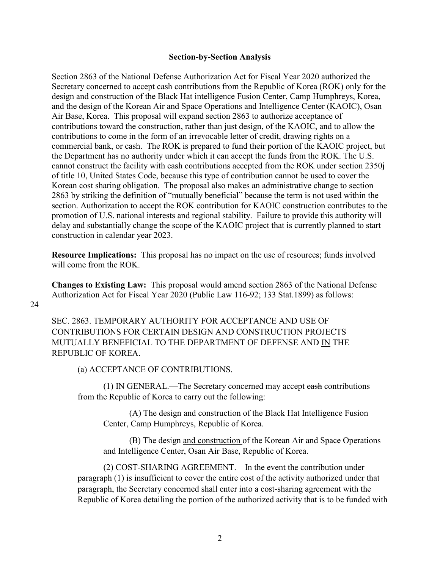#### **Section-by-Section Analysis**

Section 2863 of the National Defense Authorization Act for Fiscal Year 2020 authorized the Secretary concerned to accept cash contributions from the Republic of Korea (ROK) only for the design and construction of the Black Hat intelligence Fusion Center, Camp Humphreys, Korea, and the design of the Korean Air and Space Operations and Intelligence Center (KAOIC), Osan Air Base, Korea. This proposal will expand section 2863 to authorize acceptance of contributions toward the construction, rather than just design, of the KAOIC, and to allow the contributions to come in the form of an irrevocable letter of credit, drawing rights on a commercial bank, or cash. The ROK is prepared to fund their portion of the KAOIC project, but the Department has no authority under which it can accept the funds from the ROK. The U.S. cannot construct the facility with cash contributions accepted from the ROK under section 2350j of title 10, United States Code, because this type of contribution cannot be used to cover the Korean cost sharing obligation. The proposal also makes an administrative change to section 2863 by striking the definition of "mutually beneficial" because the term is not used within the section. Authorization to accept the ROK contribution for KAOIC construction contributes to the promotion of U.S. national interests and regional stability. Failure to provide this authority will delay and substantially change the scope of the KAOIC project that is currently planned to start construction in calendar year 2023.

**Resource Implications:** This proposal has no impact on the use of resources; funds involved will come from the ROK.

**Changes to Existing Law:** This proposal would amend section 2863 of the National Defense Authorization Act for Fiscal Year 2020 (Public Law 116-92; 133 Stat.1899) as follows:

SEC. 2863. TEMPORARY AUTHORITY FOR ACCEPTANCE AND USE OF CONTRIBUTIONS FOR CERTAIN DESIGN AND CONSTRUCTION PROJECTS MUTUALLY BENEFICIAL TO THE DEPARTMENT OF DEFENSE AND IN THE REPUBLIC OF KOREA.

(a) ACCEPTANCE OF CONTRIBUTIONS.—

(1) IN GENERAL.—The Secretary concerned may accept cash contributions from the Republic of Korea to carry out the following:

(A) The design and construction of the Black Hat Intelligence Fusion Center, Camp Humphreys, Republic of Korea.

(B) The design and construction of the Korean Air and Space Operations and Intelligence Center, Osan Air Base, Republic of Korea.

(2) COST-SHARING AGREEMENT.—In the event the contribution under paragraph (1) is insufficient to cover the entire cost of the activity authorized under that paragraph, the Secretary concerned shall enter into a cost-sharing agreement with the Republic of Korea detailing the portion of the authorized activity that is to be funded with

24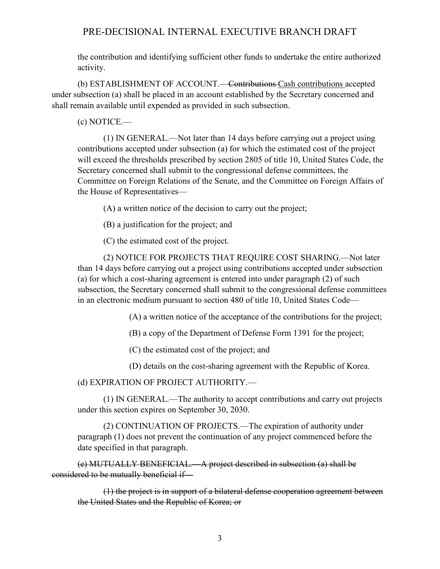# PRE-DECISIONAL INTERNAL EXECUTIVE BRANCH DRAFT

the contribution and identifying sufficient other funds to undertake the entire authorized activity.

(b) ESTABLISHMENT OF ACCOUNT.—Contributions Cash contributions accepted under subsection (a) shall be placed in an account established by the Secretary concerned and shall remain available until expended as provided in such subsection.

(c) NOTICE.—

(1) IN GENERAL.—Not later than 14 days before carrying out a project using contributions accepted under subsection (a) for which the estimated cost of the project will exceed the thresholds prescribed by section 2805 of title 10, United States Code, the Secretary concerned shall submit to the congressional defense committees, the Committee on Foreign Relations of the Senate, and the Committee on Foreign Affairs of the House of Representatives—

(A) a written notice of the decision to carry out the project;

(B) a justification for the project; and

(C) the estimated cost of the project.

(2) NOTICE FOR PROJECTS THAT REQUIRE COST SHARING.—Not later than 14 days before carrying out a project using contributions accepted under subsection (a) for which a cost-sharing agreement is entered into under paragraph (2) of such subsection, the Secretary concerned shall submit to the congressional defense committees in an electronic medium pursuant to section 480 of title 10, United States Code—

(A) a written notice of the acceptance of the contributions for the project;

(B) a copy of the Department of Defense Form 1391 for the project;

(C) the estimated cost of the project; and

(D) details on the cost-sharing agreement with the Republic of Korea.

(d) EXPIRATION OF PROJECT AUTHORITY.—

(1) IN GENERAL.—The authority to accept contributions and carry out projects under this section expires on September 30, 2030.

(2) CONTINUATION OF PROJECTS.—The expiration of authority under paragraph (1) does not prevent the continuation of any project commenced before the date specified in that paragraph.

(e) MUTUALLY BENEFICIAL.—A project described in subsection (a) shall be considered to be mutually beneficial if—

(1) the project is in support of a bilateral defense cooperation agreement between the United States and the Republic of Korea; or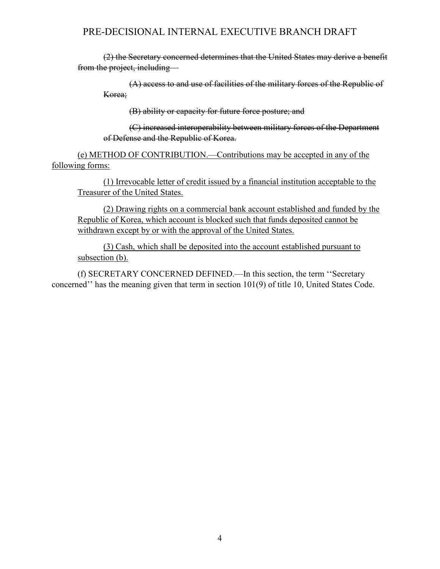# PRE-DECISIONAL INTERNAL EXECUTIVE BRANCH DRAFT

(2) the Secretary concerned determines that the United States may derive a benefit from the project, including—

(A) access to and use of facilities of the military forces of the Republic of Korea;

(B) ability or capacity for future force posture; and

(C) increased interoperability between military forces of the Department of Defense and the Republic of Korea.

(e) METHOD OF CONTRIBUTION.—Contributions may be accepted in any of the following forms:

(1) Irrevocable letter of credit issued by a financial institution acceptable to the Treasurer of the United States.

(2) Drawing rights on a commercial bank account established and funded by the Republic of Korea, which account is blocked such that funds deposited cannot be withdrawn except by or with the approval of the United States.

(3) Cash, which shall be deposited into the account established pursuant to subsection (b).

(f) SECRETARY CONCERNED DEFINED.—In this section, the term ''Secretary concerned'' has the meaning given that term in section 101(9) of title 10, United States Code.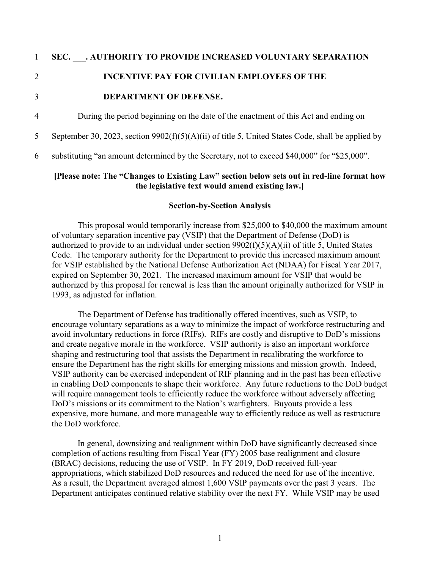#### 1 **SEC. \_\_\_. AUTHORITY TO PROVIDE INCREASED VOLUNTARY SEPARATION**

# 2 **INCENTIVE PAY FOR CIVILIAN EMPLOYEES OF THE**

#### 3 **DEPARTMENT OF DEFENSE.**

4 During the period beginning on the date of the enactment of this Act and ending on

5 September 30, 2023, section 9902(f)(5)(A)(ii) of title 5, United States Code, shall be applied by

6 substituting "an amount determined by the Secretary, not to exceed \$40,000" for "\$25,000".

#### **[Please note: The "Changes to Existing Law" section below sets out in red-line format how the legislative text would amend existing law.]**

#### **Section-by-Section Analysis**

This proposal would temporarily increase from \$25,000 to \$40,000 the maximum amount of voluntary separation incentive pay (VSIP) that the Department of Defense (DoD) is authorized to provide to an individual under section 9902(f)(5)(A)(ii) of title 5, United States Code. The temporary authority for the Department to provide this increased maximum amount for VSIP established by the National Defense Authorization Act (NDAA) for Fiscal Year 2017, expired on September 30, 2021. The increased maximum amount for VSIP that would be authorized by this proposal for renewal is less than the amount originally authorized for VSIP in 1993, as adjusted for inflation.

The Department of Defense has traditionally offered incentives, such as VSIP, to encourage voluntary separations as a way to minimize the impact of workforce restructuring and avoid involuntary reductions in force (RIFs). RIFs are costly and disruptive to DoD's missions and create negative morale in the workforce. VSIP authority is also an important workforce shaping and restructuring tool that assists the Department in recalibrating the workforce to ensure the Department has the right skills for emerging missions and mission growth. Indeed, VSIP authority can be exercised independent of RIF planning and in the past has been effective in enabling DoD components to shape their workforce. Any future reductions to the DoD budget will require management tools to efficiently reduce the workforce without adversely affecting DoD's missions or its commitment to the Nation's warfighters. Buyouts provide a less expensive, more humane, and more manageable way to efficiently reduce as well as restructure the DoD workforce.

In general, downsizing and realignment within DoD have significantly decreased since completion of actions resulting from Fiscal Year (FY) 2005 base realignment and closure (BRAC) decisions, reducing the use of VSIP. In FY 2019, DoD received full-year appropriations, which stabilized DoD resources and reduced the need for use of the incentive. As a result, the Department averaged almost 1,600 VSIP payments over the past 3 years. The Department anticipates continued relative stability over the next FY. While VSIP may be used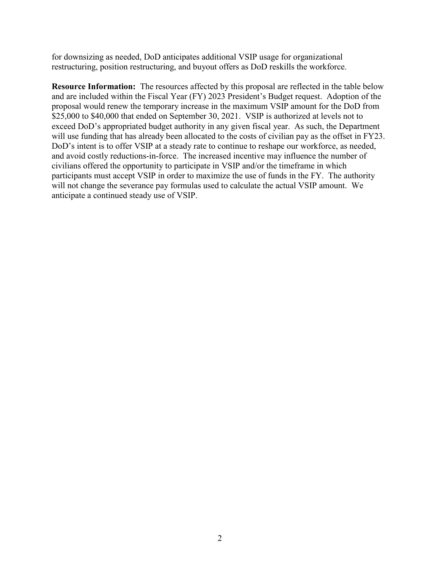for downsizing as needed, DoD anticipates additional VSIP usage for organizational restructuring, position restructuring, and buyout offers as DoD reskills the workforce.

**Resource Information:** The resources affected by this proposal are reflected in the table below and are included within the Fiscal Year (FY) 2023 President's Budget request.Adoption of the proposal would renew the temporary increase in the maximum VSIP amount for the DoD from \$25,000 to \$40,000 that ended on September 30, 2021. VSIP is authorized at levels not to exceed DoD's appropriated budget authority in any given fiscal year. As such, the Department will use funding that has already been allocated to the costs of civilian pay as the offset in FY23. DoD's intent is to offer VSIP at a steady rate to continue to reshape our workforce, as needed, and avoid costly reductions-in-force. The increased incentive may influence the number of civilians offered the opportunity to participate in VSIP and/or the timeframe in which participants must accept VSIP in order to maximize the use of funds in the FY. The authority will not change the severance pay formulas used to calculate the actual VSIP amount. We anticipate a continued steady use of VSIP.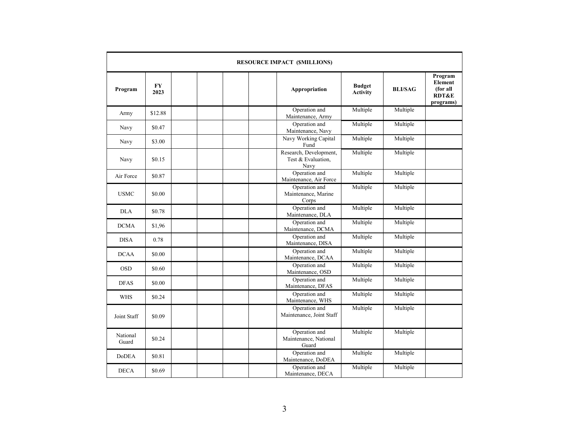|                   |                   | <b>RESOURCE IMPACT (\$MILLIONS)</b>                  |                                  |                |                                                                 |
|-------------------|-------------------|------------------------------------------------------|----------------------------------|----------------|-----------------------------------------------------------------|
| Program           | <b>FY</b><br>2023 | Appropriation                                        | <b>Budget</b><br><b>Activity</b> | <b>BLI/SAG</b> | Program<br>Element<br>(for all<br><b>RDT&amp;E</b><br>programs) |
| Army              | \$12.88           | Operation and<br>Maintenance, Army                   | Multiple                         | Multiple       |                                                                 |
| Navy              | \$0.47            | Operation and<br>Maintenance, Navy                   | Multiple                         | Multiple       |                                                                 |
| Navy              | \$3.00            | Navy Working Capital<br>Fund                         | Multiple                         | Multiple       |                                                                 |
| Navy              | \$0.15            | Research, Development,<br>Test & Evaluation,<br>Navy | Multiple                         | Multiple       |                                                                 |
| Air Force         | \$0.87            | Operation and<br>Maintenance, Air Force              | Multiple                         | Multiple       |                                                                 |
| <b>USMC</b>       | \$0.00            | Operation and<br>Maintenance, Marine<br>Corps        | Multiple                         | Multiple       |                                                                 |
| <b>DLA</b>        | \$0.78            | Operation and<br>Maintenance, DLA                    | Multiple                         | Multiple       |                                                                 |
| <b>DCMA</b>       | \$1,96            | Operation and<br>Maintenance, DCMA                   | Multiple                         | Multiple       |                                                                 |
| <b>DISA</b>       | 0.78              | Operation and<br>Maintenance, DISA                   | Multiple                         | Multiple       |                                                                 |
| <b>DCAA</b>       | \$0.00            | Operation and<br>Maintenance, DCAA                   | Multiple                         | Multiple       |                                                                 |
| <b>OSD</b>        | \$0.60            | Operation and<br>Maintenance, OSD                    | Multiple                         | Multiple       |                                                                 |
| <b>DFAS</b>       | \$0.00            | Operation and<br>Maintenance, DFAS                   | Multiple                         | Multiple       |                                                                 |
| <b>WHS</b>        | \$0.24            | Operation and<br>Maintenance, WHS                    | Multiple                         | Multiple       |                                                                 |
| Joint Staff       | \$0.09            | Operation and<br>Maintenance, Joint Staff            | Multiple                         | Multiple       |                                                                 |
| National<br>Guard | \$0.24            | Operation and<br>Maintenance, National<br>Guard      | Multiple                         | Multiple       |                                                                 |
| <b>DoDEA</b>      | \$0.81            | Operation and<br>Maintenance, DoDEA                  | Multiple                         | Multiple       |                                                                 |
| <b>DECA</b>       | \$0.69            | Operation and<br>Maintenance, DECA                   | Multiple                         | Multiple       |                                                                 |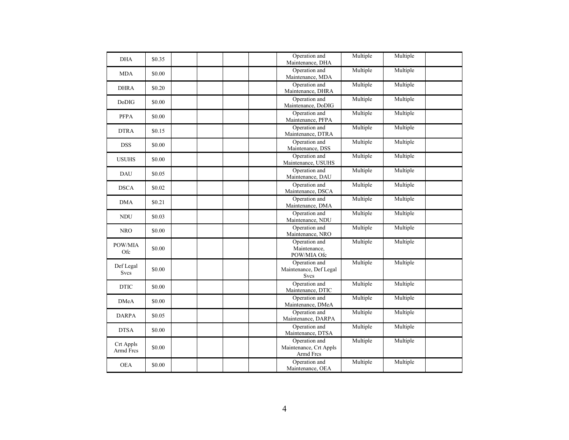| <b>DHA</b>               | \$0.35 |  | Operation and<br>Maintenance, DHA                      | Multiple | Multiple |  |
|--------------------------|--------|--|--------------------------------------------------------|----------|----------|--|
| <b>MDA</b>               | \$0.00 |  | Operation and<br>Maintenance, MDA                      | Multiple | Multiple |  |
| <b>DHRA</b>              | \$0.20 |  | Operation and<br>Maintenance, DHRA                     | Multiple | Multiple |  |
| DoDIG                    | \$0.00 |  | Operation and<br>Maintenance, DoDIG                    | Multiple | Multiple |  |
| <b>PFPA</b>              | \$0.00 |  | Operation and<br>Maintenance, PFPA                     | Multiple | Multiple |  |
| <b>DTRA</b>              | \$0.15 |  | Operation and<br>Maintenance, DTRA                     | Multiple | Multiple |  |
| <b>DSS</b>               | \$0.00 |  | Operation and<br>Maintenance, DSS                      | Multiple | Multiple |  |
| <b>USUHS</b>             | \$0.00 |  | Operation and<br>Maintenance, USUHS                    | Multiple | Multiple |  |
| <b>DAU</b>               | \$0.05 |  | Operation and<br>Maintenance, DAU                      | Multiple | Multiple |  |
| <b>DSCA</b>              | \$0.02 |  | Operation and<br>Maintenance, DSCA                     | Multiple | Multiple |  |
| <b>DMA</b>               | \$0.21 |  | Operation and<br>Maintenance, DMA                      | Multiple | Multiple |  |
| <b>NDU</b>               | \$0.03 |  | Operation and<br>Maintenance, NDU                      | Multiple | Multiple |  |
| <b>NRO</b>               | \$0.00 |  | Operation and<br>Maintenance, NRO                      | Multiple | Multiple |  |
| POW/MIA<br>${\rm Ofc}$   | \$0.00 |  | Operation and<br>Maintenance,<br>POW/MIA Ofc           | Multiple | Multiple |  |
| Def Legal<br><b>Svcs</b> | \$0.00 |  | Operation and<br>Maintenance, Def Legal<br><b>Svcs</b> | Multiple | Multiple |  |
| <b>DTIC</b>              | \$0.00 |  | Operation and<br>Maintenance, DTIC                     | Multiple | Multiple |  |
| <b>DMeA</b>              | \$0.00 |  | Operation and<br>Maintenance, DMeA                     | Multiple | Multiple |  |
| <b>DARPA</b>             | \$0.05 |  | Operation and<br>Maintenance, DARPA                    | Multiple | Multiple |  |
| <b>DTSA</b>              | \$0.00 |  | Operation and<br>Maintenance, DTSA                     | Multiple | Multiple |  |
| Crt Appls<br>Armd Fres   | \$0.00 |  | Operation and<br>Maintenance, Crt Appls<br>Armd Fres   | Multiple | Multiple |  |
| <b>OEA</b>               | \$0.00 |  | Operation and<br>Maintenance, OEA                      | Multiple | Multiple |  |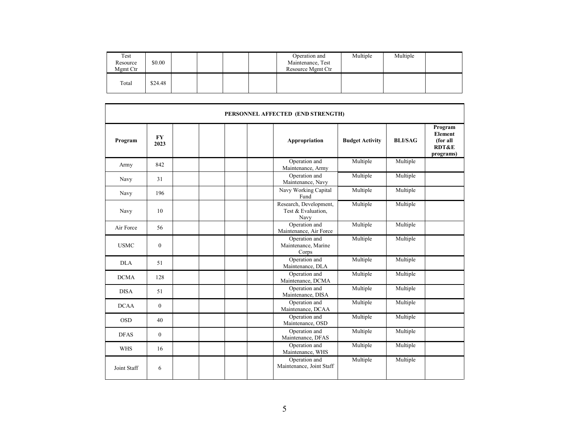| Test<br>Resource<br>Mgmt Ctr | \$0.00  |  |  | Operation and<br>Maintenance, Test<br>Resource Mgmt Ctr | Multiple | Multiple |  |
|------------------------------|---------|--|--|---------------------------------------------------------|----------|----------|--|
| Total                        | \$24.48 |  |  |                                                         |          |          |  |

|             |                   | PERSONNEL AFFECTED (END STRENGTH)                    |                        |                |                                                                        |
|-------------|-------------------|------------------------------------------------------|------------------------|----------------|------------------------------------------------------------------------|
| Program     | <b>FY</b><br>2023 | Appropriation                                        | <b>Budget Activity</b> | <b>BLI/SAG</b> | Program<br><b>Element</b><br>(for all<br><b>RDT&amp;E</b><br>programs) |
| Army        | 842               | Operation and<br>Maintenance, Army                   | Multiple               | Multiple       |                                                                        |
| Navy        | 31                | Operation and<br>Maintenance, Navy                   | Multiple               | Multiple       |                                                                        |
| Navy        | 196               | Navy Working Capital<br>Fund                         | Multiple               | Multiple       |                                                                        |
| Navy        | 10                | Research, Development,<br>Test & Evaluation,<br>Navy | Multiple               | Multiple       |                                                                        |
| Air Force   | 56                | Operation and<br>Maintenance, Air Force              | Multiple               | Multiple       |                                                                        |
| <b>USMC</b> | $\theta$          | Operation and<br>Maintenance, Marine<br>Corps        | Multiple               | Multiple       |                                                                        |
| <b>DLA</b>  | 51                | Operation and<br>Maintenance, DLA                    | Multiple               | Multiple       |                                                                        |
| <b>DCMA</b> | 128               | Operation and<br>Maintenance, DCMA                   | Multiple               | Multiple       |                                                                        |
| <b>DISA</b> | 51                | Operation and<br>Maintenance, DISA                   | Multiple               | Multiple       |                                                                        |
| <b>DCAA</b> | $\mathbf{0}$      | Operation and<br>Maintenance, DCAA                   | Multiple               | Multiple       |                                                                        |
| <b>OSD</b>  | 40                | Operation and<br>Maintenance, OSD                    | Multiple               | Multiple       |                                                                        |
| <b>DFAS</b> | $\theta$          | Operation and<br>Maintenance, DFAS                   | Multiple               | Multiple       |                                                                        |
| <b>WHS</b>  | 16                | Operation and<br>Maintenance, WHS                    | Multiple               | Multiple       |                                                                        |
| Joint Staff | 6                 | Operation and<br>Maintenance, Joint Staff            | Multiple               | Multiple       |                                                                        |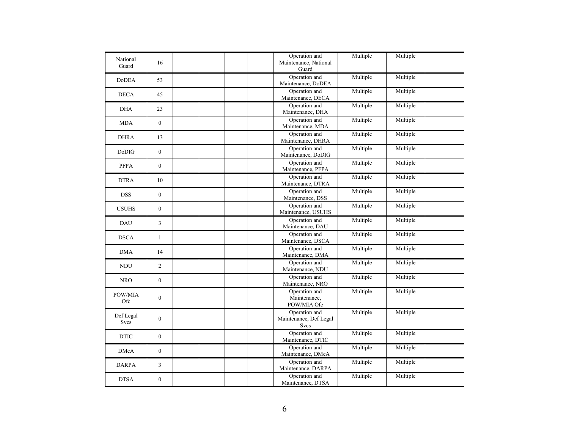| National<br>Guard        | 16               | Operation and<br>Maintenance, National<br>Guard | Multiple | Multiple |  |
|--------------------------|------------------|-------------------------------------------------|----------|----------|--|
| <b>DoDEA</b>             | 53               | Operation and<br>Maintenance, DoDEA             | Multiple | Multiple |  |
| <b>DECA</b>              | 45               | Operation and<br>Maintenance, DECA              | Multiple | Multiple |  |
| <b>DHA</b>               | 23               | Operation and<br>Maintenance, DHA               | Multiple | Multiple |  |
| <b>MDA</b>               | $\boldsymbol{0}$ | Operation and<br>Maintenance, MDA               | Multiple | Multiple |  |
| <b>DHRA</b>              | 13               | Operation and<br>Maintenance, DHRA              | Multiple | Multiple |  |
| Do <sub>D</sub> IG       | $\mathbf{0}$     | Operation and<br>Maintenance, DoDIG             | Multiple | Multiple |  |
| <b>PFPA</b>              | $\boldsymbol{0}$ | Operation and<br>Maintenance, PFPA              | Multiple | Multiple |  |
| <b>DTRA</b>              | 10               | Operation and<br>Maintenance, DTRA              | Multiple | Multiple |  |
| <b>DSS</b>               | $\boldsymbol{0}$ | Operation and<br>Maintenance, DSS               | Multiple | Multiple |  |
| <b>USUHS</b>             | $\mathbf{0}$     | Operation and<br>Maintenance, USUHS             | Multiple | Multiple |  |
| <b>DAU</b>               | $\overline{3}$   | Operation and<br>Maintenance, DAU               | Multiple | Multiple |  |
| <b>DSCA</b>              | $\mathbf{1}$     | Operation and<br>Maintenance, DSCA              | Multiple | Multiple |  |
| <b>DMA</b>               | 14               | Operation and<br>Maintenance, DMA               | Multiple | Multiple |  |
| <b>NDU</b>               | $\overline{2}$   | Operation and<br>Maintenance, NDU               | Multiple | Multiple |  |
| <b>NRO</b>               | $\mathbf{0}$     | Operation and<br>Maintenance, NRO               | Multiple | Multiple |  |
| POW/MIA<br>Ofc           | $\overline{0}$   | Operation and<br>Maintenance,<br>POW/MIA Ofc    | Multiple | Multiple |  |
| Def Legal<br><b>Svcs</b> | $\mathbf{0}$     | Operation and<br>Maintenance, Def Legal<br>Svcs | Multiple | Multiple |  |
| <b>DTIC</b>              | $\overline{0}$   | Operation and<br>Maintenance, DTIC              | Multiple | Multiple |  |
| <b>DMeA</b>              | $\boldsymbol{0}$ | Operation and<br>Maintenance, DMeA              | Multiple | Multiple |  |
| <b>DARPA</b>             | $\overline{3}$   | Operation and<br>Maintenance, DARPA             | Multiple | Multiple |  |
| <b>DTSA</b>              | $\boldsymbol{0}$ | Operation and<br>Maintenance, DTSA              | Multiple | Multiple |  |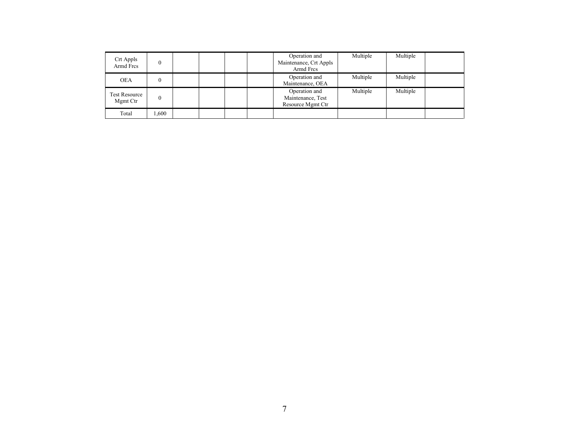| Crt Appls<br>Armd Fres           |       |  |  | Operation and<br>Maintenance, Crt Appls<br>Armd Fres    | Multiple | Multiple |  |
|----------------------------------|-------|--|--|---------------------------------------------------------|----------|----------|--|
| <b>OEA</b>                       |       |  |  | Operation and<br>Maintenance, OEA                       | Multiple | Multiple |  |
| <b>Test Resource</b><br>Mgmt Ctr |       |  |  | Operation and<br>Maintenance, Test<br>Resource Mgmt Ctr | Multiple | Multiple |  |
| Total                            | .,600 |  |  |                                                         |          |          |  |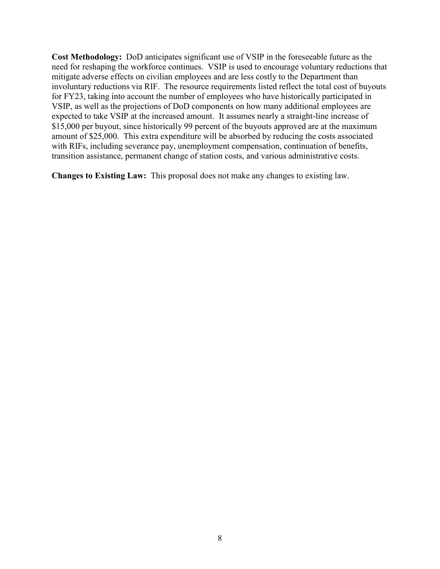**Cost Methodology:** DoD anticipates significant use of VSIP in the foreseeable future as the need for reshaping the workforce continues. VSIP is used to encourage voluntary reductions that mitigate adverse effects on civilian employees and are less costly to the Department than involuntary reductions via RIF. The resource requirements listed reflect the total cost of buyouts for FY23, taking into account the number of employees who have historically participated in VSIP, as well as the projections of DoD components on how many additional employees are expected to take VSIP at the increased amount. It assumes nearly a straight-line increase of \$15,000 per buyout, since historically 99 percent of the buyouts approved are at the maximum amount of \$25,000. This extra expenditure will be absorbed by reducing the costs associated with RIFs, including severance pay, unemployment compensation, continuation of benefits, transition assistance, permanent change of station costs, and various administrative costs.

**Changes to Existing Law:** This proposal does not make any changes to existing law.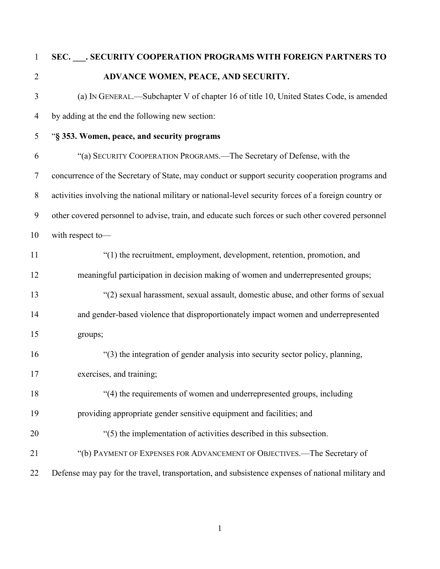# **SEC. \_\_\_. SECURITY COOPERATION PROGRAMS WITH FOREIGN PARTNERS TO ADVANCE WOMEN, PEACE, AND SECURITY.**

- (a) IN GENERAL.—Subchapter V of chapter 16 of title 10, United States Code, is amended by adding at the end the following new section:
- "**§ 353. Women, peace, and security programs**

 "(a) SECURITY COOPERATION PROGRAMS.—The Secretary of Defense, with the concurrence of the Secretary of State, may conduct or support security cooperation programs and activities involving the national military or national-level security forces of a foreign country or other covered personnel to advise, train, and educate such forces or such other covered personnel with respect to—

- "(1) the recruitment, employment, development, retention, promotion, and meaningful participation in decision making of women and underrepresented groups; "(2) sexual harassment, sexual assault, domestic abuse, and other forms of sexual and gender-based violence that disproportionately impact women and underrepresented groups;
- "(3) the integration of gender analysis into security sector policy, planning, exercises, and training;
- "(4) the requirements of women and underrepresented groups, including providing appropriate gender sensitive equipment and facilities; and
- "(5) the implementation of activities described in this subsection.
- "(b) PAYMENT OF EXPENSES FOR ADVANCEMENT OF OBJECTIVES.—The Secretary of
- Defense may pay for the travel, transportation, and subsistence expenses of national military and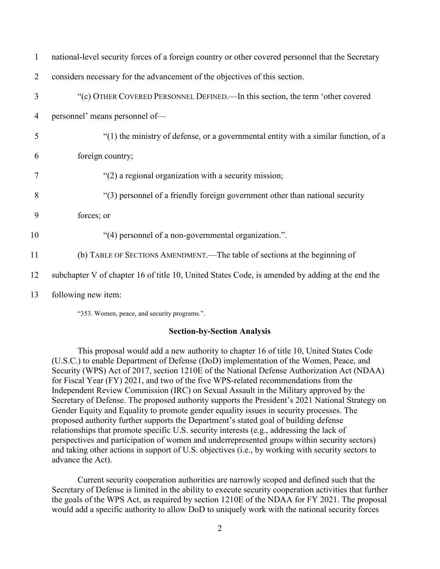| 1  | national-level security forces of a foreign country or other covered personnel that the Secretary |
|----|---------------------------------------------------------------------------------------------------|
| 2  | considers necessary for the advancement of the objectives of this section.                        |
| 3  | "(c) OTHER COVERED PERSONNEL DEFINED.—In this section, the term 'other covered                    |
| 4  | personnel' means personnel of-                                                                    |
| 5  | "(1) the ministry of defense, or a governmental entity with a similar function, of a              |
| 6  | foreign country;                                                                                  |
| 7  | "(2) a regional organization with a security mission;                                             |
| 8  | "(3) personnel of a friendly foreign government other than national security                      |
| 9  | forces; or                                                                                        |
| 10 | "(4) personnel of a non-governmental organization.".                                              |
| 11 | (b) TABLE OF SECTIONS AMENDMENT.—The table of sections at the beginning of                        |
| 12 | subchapter V of chapter 16 of title 10, United States Code, is amended by adding at the end the   |
| 13 | following new item:                                                                               |

"353. Women, peace, and security programs.".

#### **Section-by-Section Analysis**

This proposal would add a new authority to chapter 16 of title 10, United States Code (U.S.C.) to enable Department of Defense (DoD) implementation of the Women, Peace, and Security (WPS) Act of 2017, section 1210E of the National Defense Authorization Act (NDAA) for Fiscal Year (FY) 2021, and two of the five WPS-related recommendations from the Independent Review Commission (IRC) on Sexual Assault in the Military approved by the Secretary of Defense. The proposed authority supports the President's 2021 National Strategy on Gender Equity and Equality to promote gender equality issues in security processes. The proposed authority further supports the Department's stated goal of building defense relationships that promote specific U.S. security interests (e.g., addressing the lack of perspectives and participation of women and underrepresented groups within security sectors) and taking other actions in support of U.S. objectives (i.e., by working with security sectors to advance the Act).

Current security cooperation authorities are narrowly scoped and defined such that the Secretary of Defense is limited in the ability to execute security cooperation activities that further the goals of the WPS Act, as required by section 1210E of the NDAA for FY 2021. The proposal would add a specific authority to allow DoD to uniquely work with the national security forces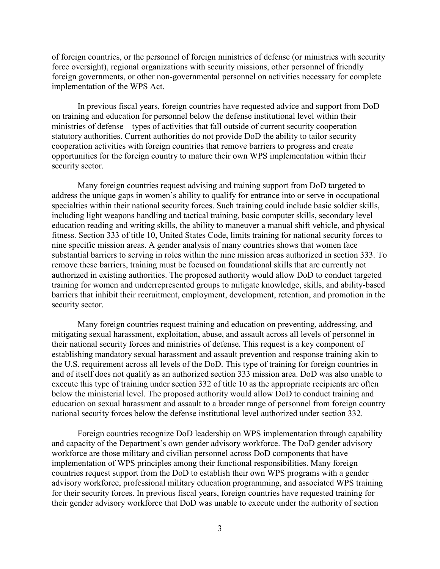of foreign countries, or the personnel of foreign ministries of defense (or ministries with security force oversight), regional organizations with security missions, other personnel of friendly foreign governments, or other non-governmental personnel on activities necessary for complete implementation of the WPS Act.

In previous fiscal years, foreign countries have requested advice and support from DoD on training and education for personnel below the defense institutional level within their ministries of defense—types of activities that fall outside of current security cooperation statutory authorities. Current authorities do not provide DoD the ability to tailor security cooperation activities with foreign countries that remove barriers to progress and create opportunities for the foreign country to mature their own WPS implementation within their security sector.

Many foreign countries request advising and training support from DoD targeted to address the unique gaps in women's ability to qualify for entrance into or serve in occupational specialties within their national security forces. Such training could include basic soldier skills, including light weapons handling and tactical training, basic computer skills, secondary level education reading and writing skills, the ability to maneuver a manual shift vehicle, and physical fitness. Section 333 of title 10, United States Code, limits training for national security forces to nine specific mission areas. A gender analysis of many countries shows that women face substantial barriers to serving in roles within the nine mission areas authorized in section 333. To remove these barriers, training must be focused on foundational skills that are currently not authorized in existing authorities. The proposed authority would allow DoD to conduct targeted training for women and underrepresented groups to mitigate knowledge, skills, and ability-based barriers that inhibit their recruitment, employment, development, retention, and promotion in the security sector.

Many foreign countries request training and education on preventing, addressing, and mitigating sexual harassment, exploitation, abuse, and assault across all levels of personnel in their national security forces and ministries of defense. This request is a key component of establishing mandatory sexual harassment and assault prevention and response training akin to the U.S. requirement across all levels of the DoD. This type of training for foreign countries in and of itself does not qualify as an authorized section 333 mission area. DoD was also unable to execute this type of training under section 332 of title 10 as the appropriate recipients are often below the ministerial level. The proposed authority would allow DoD to conduct training and education on sexual harassment and assault to a broader range of personnel from foreign country national security forces below the defense institutional level authorized under section 332.

Foreign countries recognize DoD leadership on WPS implementation through capability and capacity of the Department's own gender advisory workforce. The DoD gender advisory workforce are those military and civilian personnel across DoD components that have implementation of WPS principles among their functional responsibilities. Many foreign countries request support from the DoD to establish their own WPS programs with a gender advisory workforce, professional military education programming, and associated WPS training for their security forces. In previous fiscal years, foreign countries have requested training for their gender advisory workforce that DoD was unable to execute under the authority of section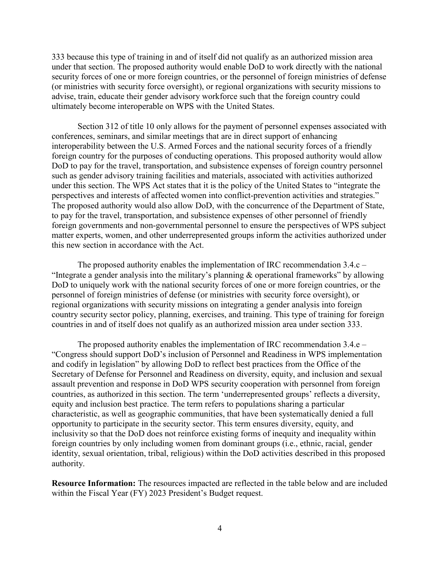333 because this type of training in and of itself did not qualify as an authorized mission area under that section. The proposed authority would enable DoD to work directly with the national security forces of one or more foreign countries, or the personnel of foreign ministries of defense (or ministries with security force oversight), or regional organizations with security missions to advise, train, educate their gender advisory workforce such that the foreign country could ultimately become interoperable on WPS with the United States.

Section 312 of title 10 only allows for the payment of personnel expenses associated with conferences, seminars, and similar meetings that are in direct support of enhancing interoperability between the U.S. Armed Forces and the national security forces of a friendly foreign country for the purposes of conducting operations. This proposed authority would allow DoD to pay for the travel, transportation, and subsistence expenses of foreign country personnel such as gender advisory training facilities and materials, associated with activities authorized under this section. The WPS Act states that it is the policy of the United States to "integrate the perspectives and interests of affected women into conflict-prevention activities and strategies." The proposed authority would also allow DoD, with the concurrence of the Department of State, to pay for the travel, transportation, and subsistence expenses of other personnel of friendly foreign governments and non-governmental personnel to ensure the perspectives of WPS subject matter experts, women, and other underrepresented groups inform the activities authorized under this new section in accordance with the Act.

The proposed authority enables the implementation of IRC recommendation 3.4.c – "Integrate a gender analysis into the military's planning & operational frameworks" by allowing DoD to uniquely work with the national security forces of one or more foreign countries, or the personnel of foreign ministries of defense (or ministries with security force oversight), or regional organizations with security missions on integrating a gender analysis into foreign country security sector policy, planning, exercises, and training. This type of training for foreign countries in and of itself does not qualify as an authorized mission area under section 333.

The proposed authority enables the implementation of IRC recommendation 3.4.e – "Congress should support DoD's inclusion of Personnel and Readiness in WPS implementation and codify in legislation" by allowing DoD to reflect best practices from the Office of the Secretary of Defense for Personnel and Readiness on diversity, equity, and inclusion and sexual assault prevention and response in DoD WPS security cooperation with personnel from foreign countries, as authorized in this section. The term 'underrepresented groups' reflects a diversity, equity and inclusion best practice. The term refers to populations sharing a particular characteristic, as well as geographic communities, that have been systematically denied a full opportunity to participate in the security sector. This term ensures diversity, equity, and inclusivity so that the DoD does not reinforce existing forms of inequity and inequality within foreign countries by only including women from dominant groups (i.e., ethnic, racial, gender identity, sexual orientation, tribal, religious) within the DoD activities described in this proposed authority.

**Resource Information:** The resources impacted are reflected in the table below and are included within the Fiscal Year (FY) 2023 President's Budget request.